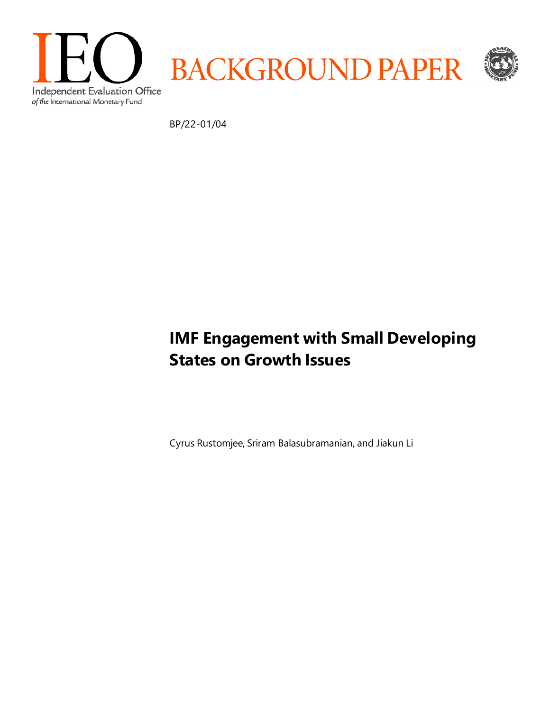

BP/22-01/04

# **IMF Engagement with Small Developing States on Growth Issues**

Cyrus Rustomjee, Sriram Balasubramanian, and Jiakun Li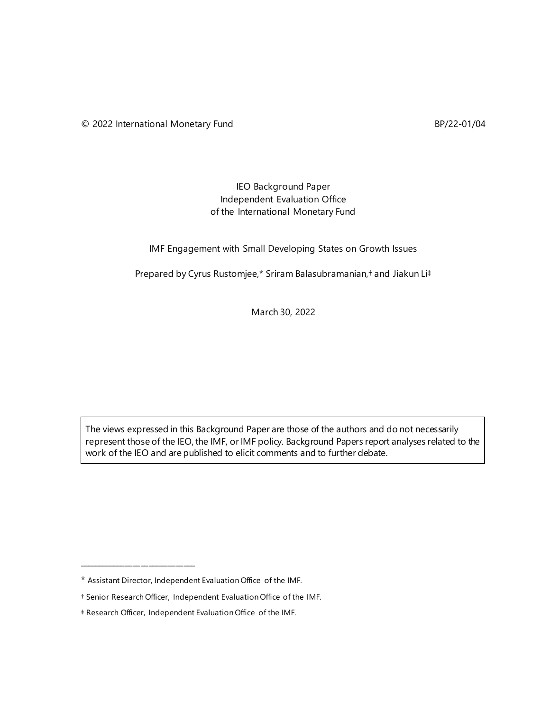# IEO Background Paper Independent Evaluation Office of the International Monetary Fund

#### IMF Engagement with Small Developing States on Growth Issues

Prepared by Cyrus Rustomjee,\* Sriram Balasubramanian,† and Jiakun Li‡

March 30, 2022

The views expressed in this Background Paper are those of the authors and do not necessarily represent those of the IEO, the IMF, or IMF policy. Background Papers report analyses related to the work of the IEO and are published to elicit comments and to further debate.

\_\_\_\_\_\_\_\_\_\_\_\_\_\_\_\_\_\_\_\_\_\_\_\_\_\_\_\_\_\_

<sup>\*</sup> Assistant Director, Independent Evaluation Office of the IMF.

<sup>†</sup> Senior Research Officer, Independent Evaluation Office of the IMF.

<sup>‡</sup> Research Officer, Independent Evaluation Office of the IMF.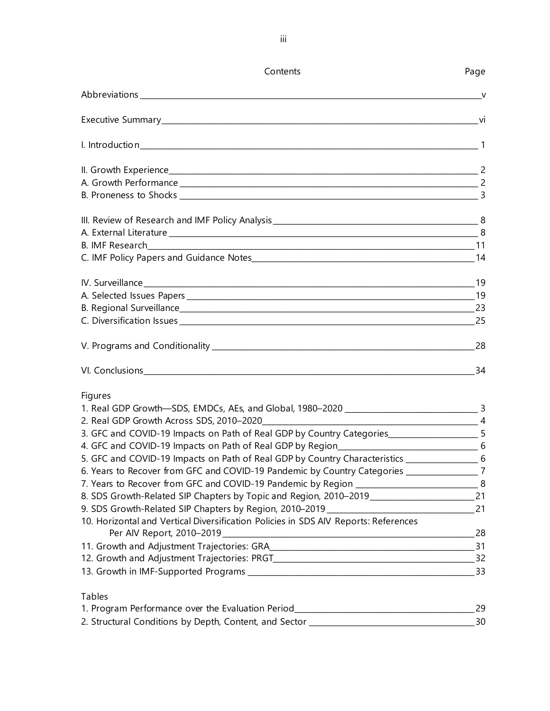| Contents                                                                                            | Page |
|-----------------------------------------------------------------------------------------------------|------|
|                                                                                                     |      |
|                                                                                                     |      |
|                                                                                                     |      |
|                                                                                                     |      |
|                                                                                                     |      |
|                                                                                                     |      |
|                                                                                                     |      |
|                                                                                                     |      |
|                                                                                                     |      |
|                                                                                                     |      |
|                                                                                                     |      |
|                                                                                                     |      |
|                                                                                                     |      |
|                                                                                                     |      |
|                                                                                                     |      |
|                                                                                                     |      |
| Figures                                                                                             |      |
|                                                                                                     |      |
|                                                                                                     |      |
| 3. GFC and COVID-19 Impacts on Path of Real GDP by Country Categories_______________________5       |      |
|                                                                                                     |      |
| 5. GFC and COVID-19 Impacts on Path of Real GDP by Country Characteristics _______________________6 |      |
| 6. Years to Recover from GFC and COVID-19 Pandemic by Country Categories _________________7         |      |
|                                                                                                     |      |
| 8. SDS Growth-Related SIP Chapters by Topic and Region, 2010-2019___________________________21      |      |
|                                                                                                     |      |
| 10. Horizontal and Vertical Diversification Policies in SDS AIV Reports: References                 |      |
|                                                                                                     |      |
|                                                                                                     |      |
|                                                                                                     |      |
| <b>Tables</b>                                                                                       |      |
| 1. Program Performance over the Evaluation Period_______________________________                    | 29   |
| 2. Structural Conditions by Depth, Content, and Sector __________________________                   | 30   |

iii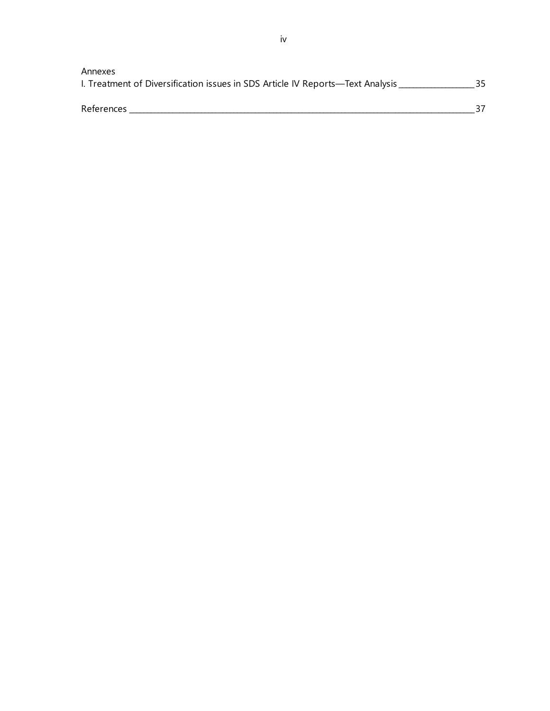| Annexes<br>I. Treatment of Diversification issues in SDS Article IV Reports—Text Analysis |  |
|-------------------------------------------------------------------------------------------|--|
| <b>References</b>                                                                         |  |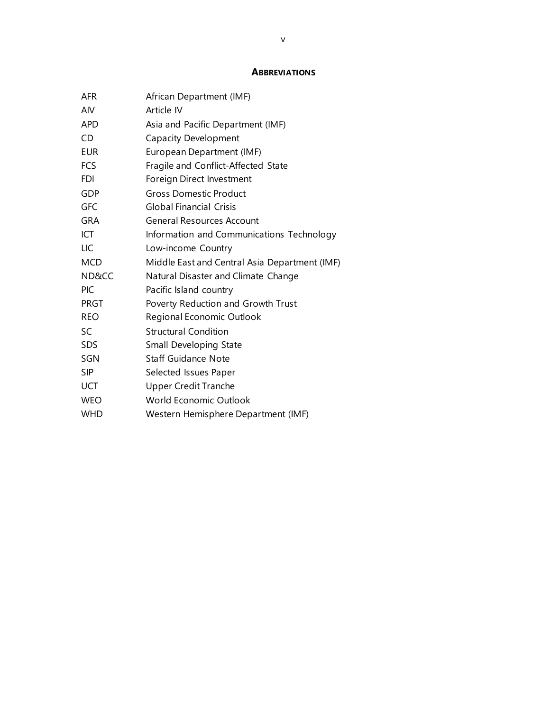#### **ABBREVIATIONS**

| <b>AFR</b>  | African Department (IMF)                      |
|-------------|-----------------------------------------------|
| AIV         | Article IV                                    |
| <b>APD</b>  | Asia and Pacific Department (IMF)             |
| CD          | <b>Capacity Development</b>                   |
| <b>EUR</b>  | European Department (IMF)                     |
| <b>FCS</b>  | Fragile and Conflict-Affected State           |
| <b>FDI</b>  | Foreign Direct Investment                     |
| <b>GDP</b>  | <b>Gross Domestic Product</b>                 |
| GFC         | <b>Global Financial Crisis</b>                |
| <b>GRA</b>  | <b>General Resources Account</b>              |
| ICT         | Information and Communications Technology     |
| LIC         | Low-income Country                            |
| <b>MCD</b>  | Middle East and Central Asia Department (IMF) |
| ND&CC       | Natural Disaster and Climate Change           |
| <b>PIC</b>  | Pacific Island country                        |
| <b>PRGT</b> | Poverty Reduction and Growth Trust            |
| <b>REO</b>  | Regional Economic Outlook                     |
| SC          | <b>Structural Condition</b>                   |
| <b>SDS</b>  | Small Developing State                        |
| SGN         | <b>Staff Guidance Note</b>                    |
| <b>SIP</b>  | Selected Issues Paper                         |
| <b>UCT</b>  | <b>Upper Credit Tranche</b>                   |
| <b>WEO</b>  | World Economic Outlook                        |
| <b>WHD</b>  | Western Hemisphere Department (IMF)           |
|             |                                               |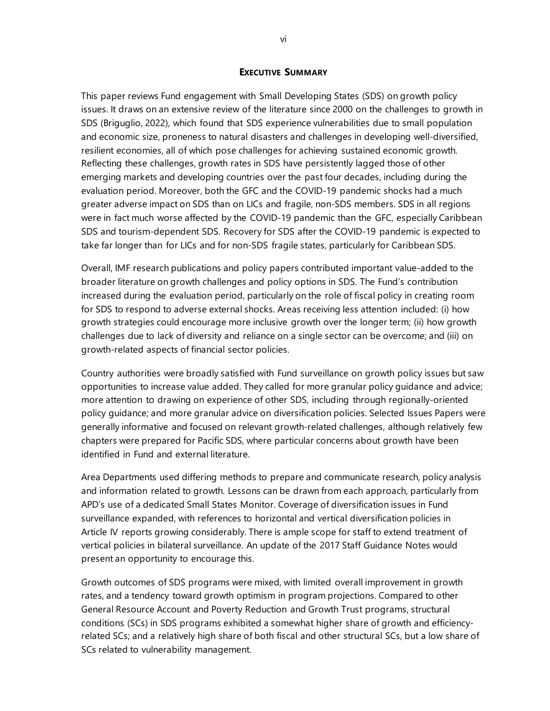#### **EXECUTIVE SUMMARY**

This paper reviews Fund engagement with Small Developing States (SDS) on growth policy issues. It draws on an extensive review of the literature since 2000 on the challenges to growth in SDS (Briguglio, 2022), which found that SDS experience vulnerabilities due to small population and economic size, proneness to natural disasters and challenges in developing well-diversified, resilient economies, all of which pose challenges for achieving sustained economic growth. Reflecting these challenges, growth rates in SDS have persistently lagged those of other emerging markets and developing countries over the past four decades, including during the evaluation period. Moreover, both the GFC and the COVID-19 pandemic shocks had a much greater adverse impact on SDS than on LICs and fragile, non-SDS members. SDS in all regions were in fact much worse affected by the COVID-19 pandemic than the GFC, especially Caribbean SDS and tourism-dependent SDS. Recovery for SDS after the COVID-19 pandemic is expected to take far longer than for LICs and for non-SDS fragile states, particularly for Caribbean SDS.

Overall, IMF research publications and policy papers contributed important value-added to the broader literature on growth challenges and policy options in SDS. The Fund's contribution increased during the evaluation period, particularly on the role of fiscal policy in creating room for SDS to respond to adverse external shocks. Areas receiving less attention included: (i) how growth strategies could encourage more inclusive growth over the longer term; (ii) how growth challenges due to lack of diversity and reliance on a single sector can be overcome; and (iii) on growth-related aspects of financial sector policies.

Country authorities were broadly satisfied with Fund surveillance on growth policy issues but saw opportunities to increase value added. They called for more granular policy guidance and advice; more attention to drawing on experience of other SDS, including through regionally-oriented policy guidance; and more granular advice on diversification policies. Selected Issues Papers were generally informative and focused on relevant growth-related challenges, although relatively few chapters were prepared for Pacific SDS, where particular concerns about growth have been identified in Fund and external literature.

Area Departments used differing methods to prepare and communicate research, policy analysis and information related to growth. Lessons can be drawn from each approach, particularly from APD's use of a dedicated Small States Monitor. Coverage of diversification issues in Fund surveillance expanded, with references to horizontal and vertical diversification policies in Article IV reports growing considerably. There is ample scope for staff to extend treatment of vertical policies in bilateral surveillance. An update of the 2017 Staff Guidance Notes would present an opportunity to encourage this.

Growth outcomes of SDS programs were mixed, with limited overall improvement in growth rates, and a tendency toward growth optimism in program projections. Compared to other General Resource Account and Poverty Reduction and Growth Trust programs, structural conditions (SCs) in SDS programs exhibited a somewhat higher share of growth and efficiencyrelated SCs; and a relatively high share of both fiscal and other structural SCs, but a low share of SCs related to vulnerability management.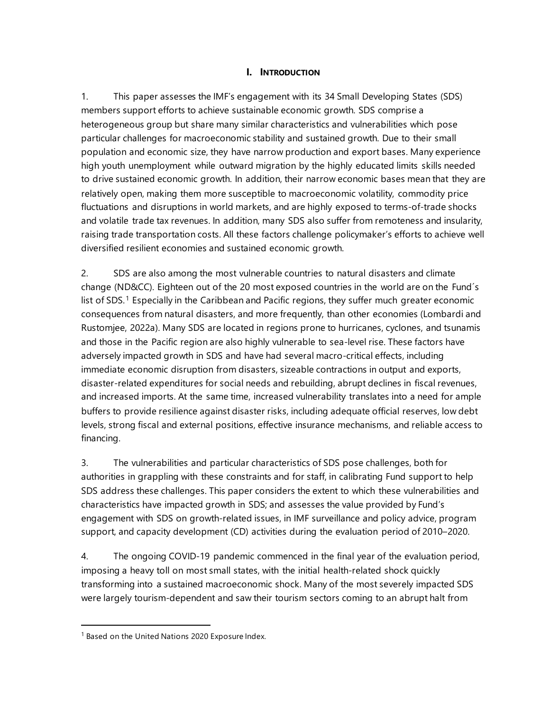# **I. INTRODUCTION**

1. This paper assesses the IMF's engagement with its 34 Small Developing States (SDS) members support efforts to achieve sustainable economic growth. SDS comprise a heterogeneous group but share many similar characteristics and vulnerabilities which pose particular challenges for macroeconomic stability and sustained growth. Due to their small population and economic size, they have narrow production and export bases. Many experience high youth unemployment while outward migration by the highly educated limits skills needed to drive sustained economic growth. In addition, their narrow economic bases mean that they are relatively open, making them more susceptible to macroeconomic volatility, commodity price fluctuations and disruptions in world markets, and are highly exposed to terms-of-trade shocks and volatile trade tax revenues. In addition, many SDS also suffer from remoteness and insularity, raising trade transportation costs. All these factors challenge policymaker's efforts to achieve well diversified resilient economies and sustained economic growth.

2. SDS are also among the most vulnerable countries to natural disasters and climate change (ND&CC). Eighteen out of the 20 most exposed countries in the world are on the Fund´s list of SDS.<sup>[1](#page-6-0)</sup> Especially in the Caribbean and Pacific regions, they suffer much greater economic consequences from natural disasters, and more frequently, than other economies (Lombardi and Rustomjee, 2022a). Many SDS are located in regions prone to hurricanes, cyclones, and tsunamis and those in the Pacific region are also highly vulnerable to sea-level rise. These factors have adversely impacted growth in SDS and have had several macro-critical effects, including immediate economic disruption from disasters, sizeable contractions in output and exports, disaster-related expenditures for social needs and rebuilding, abrupt declines in fiscal revenues, and increased imports. At the same time, increased vulnerability translates into a need for ample buffers to provide resilience against disaster risks, including adequate official reserves, low debt levels, strong fiscal and external positions, effective insurance mechanisms, and reliable access to financing.

3. The vulnerabilities and particular characteristics of SDS pose challenges, both for authorities in grappling with these constraints and for staff, in calibrating Fund support to help SDS address these challenges. This paper considers the extent to which these vulnerabilities and characteristics have impacted growth in SDS; and assesses the value provided by Fund's engagement with SDS on growth-related issues, in IMF surveillance and policy advice, program support, and capacity development (CD) activities during the evaluation period of 2010–2020.

4. The ongoing COVID-19 pandemic commenced in the final year of the evaluation period, imposing a heavy toll on most small states, with the initial health-related shock quickly transforming into a sustained macroeconomic shock. Many of the most severely impacted SDS were largely tourism-dependent and saw their tourism sectors coming to an abrupt halt from

<span id="page-6-0"></span><sup>&</sup>lt;sup>1</sup> Based on the United Nations 2020 Exposure Index.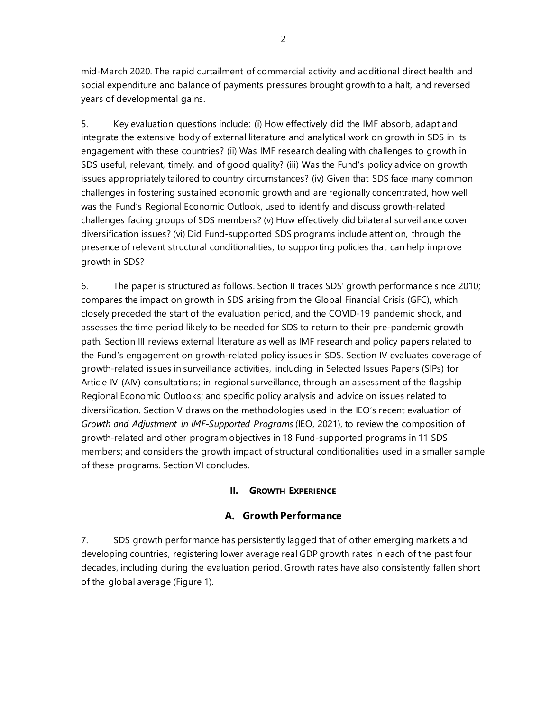mid-March 2020. The rapid curtailment of commercial activity and additional direct health and social expenditure and balance of payments pressures brought growth to a halt, and reversed years of developmental gains.

5. Key evaluation questions include: (i) How effectively did the IMF absorb, adapt and integrate the extensive body of external literature and analytical work on growth in SDS in its engagement with these countries? (ii) Was IMF research dealing with challenges to growth in SDS useful, relevant, timely, and of good quality? (iii) Was the Fund's policy advice on growth issues appropriately tailored to country circumstances? (iv) Given that SDS face many common challenges in fostering sustained economic growth and are regionally concentrated, how well was the Fund's Regional Economic Outlook, used to identify and discuss growth-related challenges facing groups of SDS members? (v) How effectively did bilateral surveillance cover diversification issues? (vi) Did Fund-supported SDS programs include attention, through the presence of relevant structural conditionalities, to supporting policies that can help improve growth in SDS?

6. The paper is structured as follows. Section II traces SDS' growth performance since 2010; compares the impact on growth in SDS arising from the Global Financial Crisis (GFC), which closely preceded the start of the evaluation period, and the COVID-19 pandemic shock, and assesses the time period likely to be needed for SDS to return to their pre-pandemic growth path. Section III reviews external literature as well as IMF research and policy papers related to the Fund's engagement on growth-related policy issues in SDS. Section IV evaluates coverage of growth-related issues in surveillance activities, including in Selected Issues Papers (SIPs) for Article IV (AIV) consultations; in regional surveillance, through an assessment of the flagship Regional Economic Outlooks; and specific policy analysis and advice on issues related to diversification. Section V draws on the methodologies used in the IEO's recent evaluation of *Growth and Adjustment in IMF-Supported Programs* (IEO, 2021), to review the composition of growth-related and other program objectives in 18 Fund-supported programs in 11 SDS members; and considers the growth impact of structural conditionalities used in a smaller sample of these programs. Section VI concludes.

# **II. GROWTH EXPERIENCE**

# **A. Growth Performance**

7. SDS growth performance has persistently lagged that of other emerging markets and developing countries, registering lower average real GDP growth rates in each of the past four decades, including during the evaluation period. Growth rates have also consistently fallen short of the global average (Figure 1).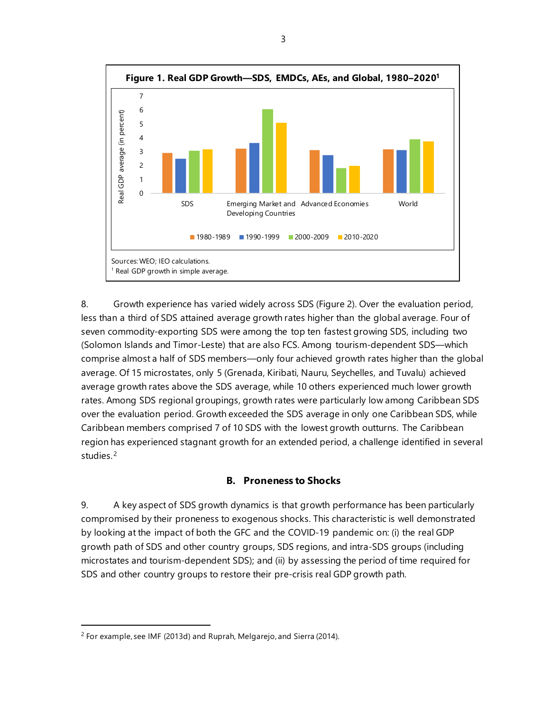

8. Growth experience has varied widely across SDS (Figure 2). Over the evaluation period, less than a third of SDS attained average growth rates higher than the global average. Four of seven commodity-exporting SDS were among the top ten fastest growing SDS, including two (Solomon Islands and Timor-Leste) that are also FCS. Among tourism-dependent SDS—which comprise almost a half of SDS members—only four achieved growth rates higher than the global average. Of 15 microstates, only 5 (Grenada, Kiribati, Nauru, Seychelles, and Tuvalu) achieved average growth rates above the SDS average, while 10 others experienced much lower growth rates. Among SDS regional groupings, growth rates were particularly low among Caribbean SDS over the evaluation period. Growth exceeded the SDS average in only one Caribbean SDS, while Caribbean members comprised 7 of 10 SDS with the lowest growth outturns. The Caribbean region has experienced stagnant growth for an extended period, a challenge identified in several studies.<sup>[2](#page-8-0)</sup>

# **B. Proneness to Shocks**

9. A key aspect of SDS growth dynamics is that growth performance has been particularly compromised by their proneness to exogenous shocks. This characteristic is well demonstrated by looking at the impact of both the GFC and the COVID-19 pandemic on: (i) the real GDP growth path of SDS and other country groups, SDS regions, and intra-SDS groups (including microstates and tourism-dependent SDS); and (ii) by assessing the period of time required for SDS and other country groups to restore their pre-crisis real GDP growth path.

<span id="page-8-0"></span><sup>2</sup> For example, see IMF (2013d) and Ruprah, Melgarejo, and Sierra (2014).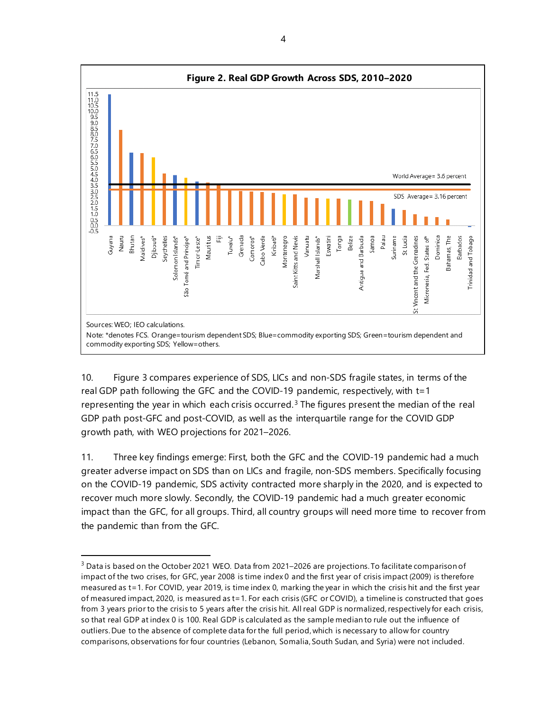

10. Figure 3 compares experience of SDS, LICs and non-SDS fragile states, in terms of the real GDP path following the GFC and the COVID-19 pandemic, respectively, with t=1 representing the year in which each crisis occurred.<sup>[3](#page-9-0)</sup> The figures present the median of the real GDP path post-GFC and post-COVID, as well as the interquartile range for the COVID GDP growth path, with WEO projections for 2021–2026.

11. Three key findings emerge: First, both the GFC and the COVID-19 pandemic had a much greater adverse impact on SDS than on LICs and fragile, non-SDS members. Specifically focusing on the COVID-19 pandemic, SDS activity contracted more sharply in the 2020, and is expected to recover much more slowly. Secondly, the COVID-19 pandemic had a much greater economic impact than the GFC, for all groups. Third, all country groups will need more time to recover from the pandemic than from the GFC.

<span id="page-9-0"></span><sup>&</sup>lt;sup>3</sup> Data is based on the October 2021 WEO. Data from 2021–2026 are projections. To facilitate comparison of impact of the two crises, for GFC, year 2008 is time index 0 and the first year of crisis impact (2009) is therefore measured as t=1. For COVID, year 2019, is time index 0, marking the year in which the crisis hit and the first year of measured impact, 2020, is measured as t=1. For each crisis (GFC or COVID), a timeline is constructed that goes from 3 years prior to the crisis to 5 years after the crisis hit. All real GDP is normalized, respectively for each crisis, so that real GDP at index 0 is 100. Real GDP is calculated as the sample median to rule out the influence of outliers. Due to the absence of complete data for the full period, which is necessary to allow for country comparisons, observations for four countries (Lebanon, Somalia, South Sudan, and Syria) were not included.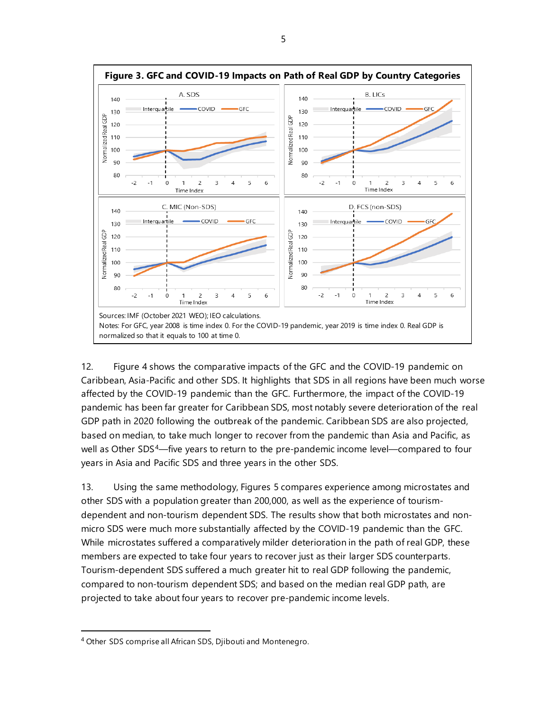

12. Figure 4 shows the comparative impacts of the GFC and the COVID-19 pandemic on Caribbean, Asia-Pacific and other SDS. It highlights that SDS in all regions have been much worse affected by the COVID-19 pandemic than the GFC. Furthermore, the impact of the COVID-19 pandemic has been far greater for Caribbean SDS, most notably severe deterioration of the real GDP path in 2020 following the outbreak of the pandemic. Caribbean SDS are also projected, based on median, to take much longer to recover from the pandemic than Asia and Pacific, as well as Other SDS<sup>4</sup>—five years to return to the pre-pandemic income level—compared to four years in Asia and Pacific SDS and three years in the other SDS.

13. Using the same methodology, Figures 5 compares experience among microstates and other SDS with a population greater than 200,000, as well as the experience of tourismdependent and non-tourism dependent SDS. The results show that both microstates and nonmicro SDS were much more substantially affected by the COVID-19 pandemic than the GFC. While microstates suffered a comparatively milder deterioration in the path of real GDP, these members are expected to take four years to recover just as their larger SDS counterparts. Tourism-dependent SDS suffered a much greater hit to real GDP following the pandemic, compared to non-tourism dependent SDS; and based on the median real GDP path, are projected to take about four years to recover pre-pandemic income levels.

<span id="page-10-0"></span><sup>4</sup> Other SDS comprise all African SDS, Djibouti and Montenegro.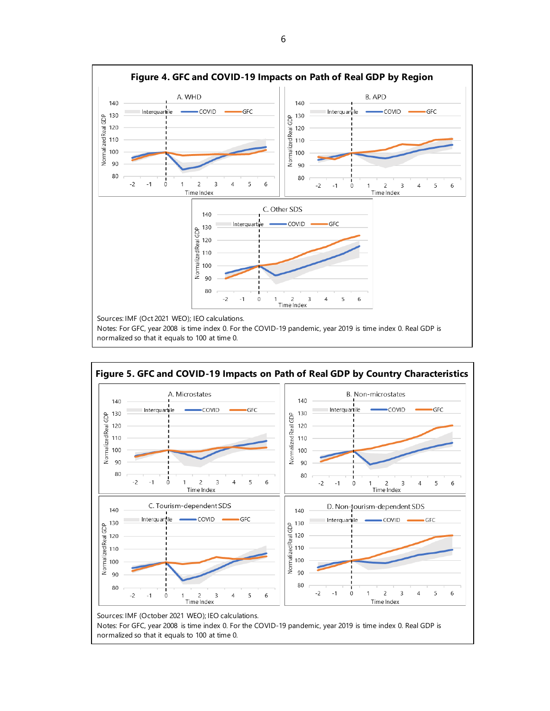

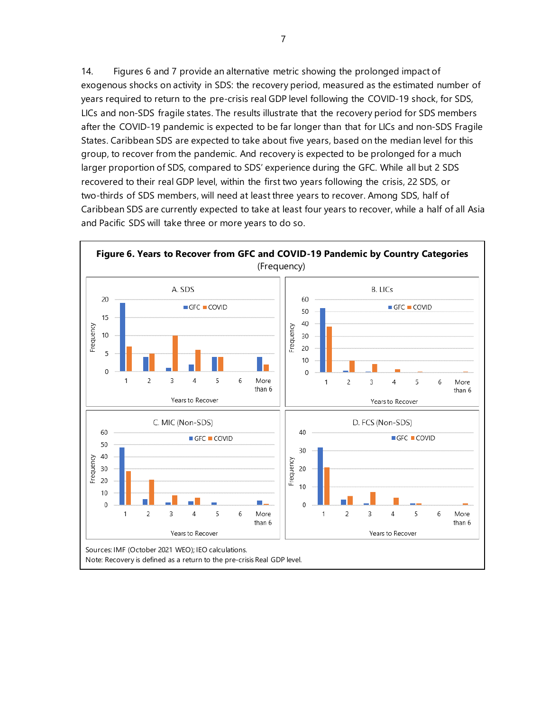14. Figures 6 and 7 provide an alternative metric showing the prolonged impact of exogenous shocks on activity in SDS: the recovery period, measured as the estimated number of years required to return to the pre-crisis real GDP level following the COVID-19 shock, for SDS, LICs and non-SDS fragile states. The results illustrate that the recovery period for SDS members after the COVID-19 pandemic is expected to be far longer than that for LICs and non-SDS Fragile States. Caribbean SDS are expected to take about five years, based on the median level for this group, to recover from the pandemic. And recovery is expected to be prolonged for a much larger proportion of SDS, compared to SDS' experience during the GFC. While all but 2 SDS recovered to their real GDP level, within the first two years following the crisis, 22 SDS, or two-thirds of SDS members, will need at least three years to recover. Among SDS, half of Caribbean SDS are currently expected to take at least four years to recover, while a half of all Asia and Pacific SDS will take three or more years to do so.

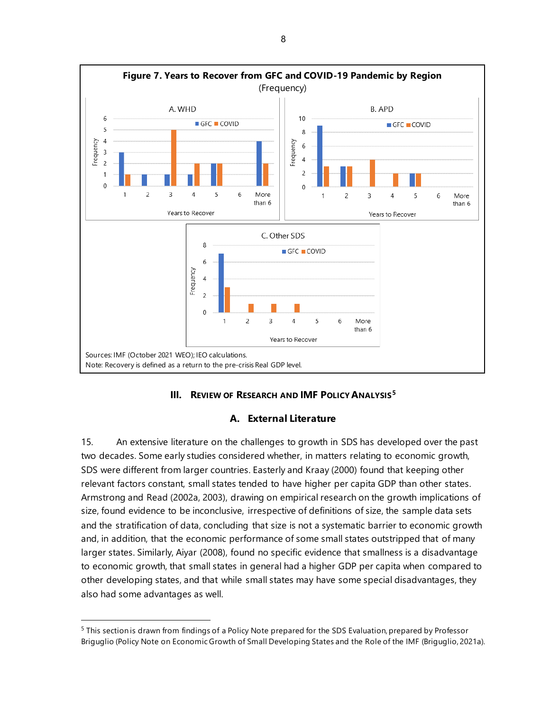

# **III. REVIEW OF RESEARCH AND IMF POLICY ANALYSIS[5](#page-13-0)**

#### **A. External Literature**

15. An extensive literature on the challenges to growth in SDS has developed over the past two decades. Some early studies considered whether, in matters relating to economic growth, SDS were different from larger countries. Easterly and Kraay (2000) found that keeping other relevant factors constant, small states tended to have higher per capita GDP than other states. Armstrong and Read (2002a, 2003), drawing on empirical research on the growth implications of size, found evidence to be inconclusive, irrespective of definitions of size, the sample data sets and the stratification of data, concluding that size is not a systematic barrier to economic growth and, in addition, that the economic performance of some small states outstripped that of many larger states. Similarly, Aiyar (2008), found no specific evidence that smallness is a disadvantage to economic growth, that small states in general had a higher GDP per capita when compared to other developing states, and that while small states may have some special disadvantages, they also had some advantages as well.

<span id="page-13-0"></span><sup>5</sup> This section is drawn from findings of a Policy Note prepared for the SDS Evaluation, prepared by Professor Briguglio (Policy Note on Economic Growth of Small Developing States and the Role of the IMF (Briguglio, 2021a).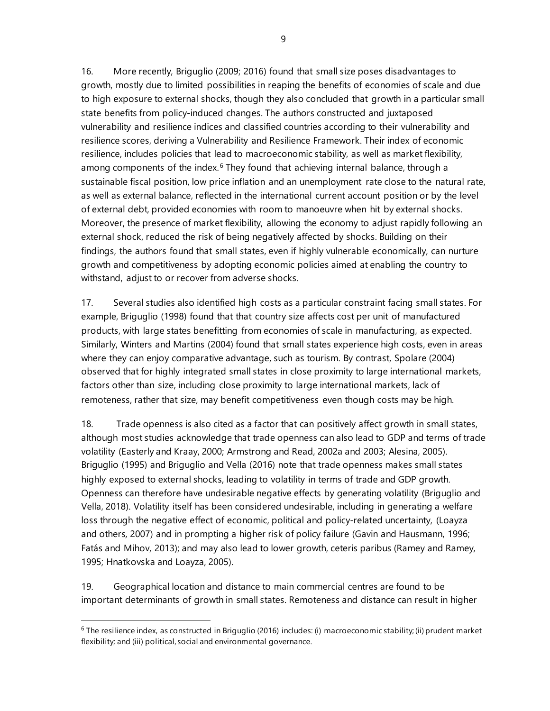16. More recently, Briguglio (2009; 2016) found that small size poses disadvantages to growth, mostly due to limited possibilities in reaping the benefits of economies of scale and due to high exposure to external shocks, though they also concluded that growth in a particular small state benefits from policy-induced changes. The authors constructed and juxtaposed vulnerability and resilience indices and classified countries according to their vulnerability and resilience scores, deriving a Vulnerability and Resilience Framework. Their index of economic resilience, includes policies that lead to macroeconomic stability, as well as market flexibility, among components of the index.<sup>[6](#page-14-0)</sup> They found that achieving internal balance, through a sustainable fiscal position, low price inflation and an unemployment rate close to the natural rate, as well as external balance, reflected in the international current account position or by the level of external debt, provided economies with room to manoeuvre when hit by external shocks. Moreover, the presence of market flexibility, allowing the economy to adjust rapidly following an external shock, reduced the risk of being negatively affected by shocks. Building on their findings, the authors found that small states, even if highly vulnerable economically, can nurture growth and competitiveness by adopting economic policies aimed at enabling the country to withstand, adjust to or recover from adverse shocks.

17. Several studies also identified high costs as a particular constraint facing small states. For example, Briguglio (1998) found that that country size affects cost per unit of manufactured products, with large states benefitting from economies of scale in manufacturing, as expected. Similarly, Winters and Martins (2004) found that small states experience high costs, even in areas where they can enjoy comparative advantage, such as tourism. By contrast, Spolare (2004) observed that for highly integrated small states in close proximity to large international markets, factors other than size, including close proximity to large international markets, lack of remoteness, rather that size, may benefit competitiveness even though costs may be high.

18. Trade openness is also cited as a factor that can positively affect growth in small states, although most studies acknowledge that trade openness can also lead to GDP and terms of trade volatility (Easterly and Kraay, 2000; Armstrong and Read, 2002a and 2003; Alesina, 2005). Briguglio (1995) and Briguglio and Vella (2016) note that trade openness makes small states highly exposed to external shocks, leading to volatility in terms of trade and GDP growth. Openness can therefore have undesirable negative effects by generating volatility (Briguglio and Vella, 2018). Volatility itself has been considered undesirable, including in generating a welfare loss through the negative effect of economic, political and policy-related uncertainty, (Loayza and others*,* 2007) and in prompting a higher risk of policy failure (Gavin and Hausmann, 1996; Fatás and Mihov, 2013); and may also lead to lower growth, ceteris paribus (Ramey and Ramey, 1995; Hnatkovska and Loayza, 2005).

19. Geographical location and distance to main commercial centres are found to be important determinants of growth in small states. Remoteness and distance can result in higher

<span id="page-14-0"></span><sup>&</sup>lt;sup>6</sup> The resilience index, as constructed in Briguglio (2016) includes: (i) macroeconomic stability; (ii) prudent market flexibility; and (iii) political, social and environmental governance.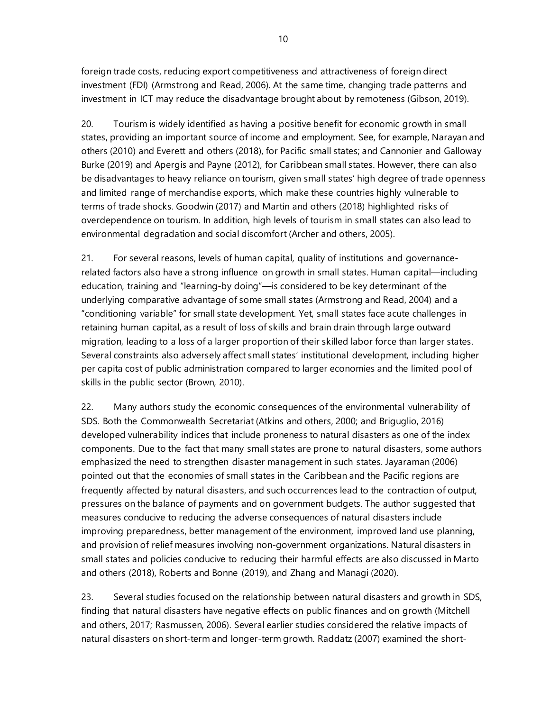foreign trade costs, reducing export competitiveness and attractiveness of foreign direct investment (FDI) (Armstrong and Read, 2006). At the same time, changing trade patterns and investment in ICT may reduce the disadvantage brought about by remoteness (Gibson, 2019).

20. Tourism is widely identified as having a positive benefit for economic growth in small states, providing an important source of income and employment. See, for example, Narayan and others (2010) and Everett and others (2018), for Pacific small states; and Cannonier and Galloway Burke (2019) and Apergis and Payne (2012), for Caribbean small states. However, there can also be disadvantages to heavy reliance on tourism, given small states' high degree of trade openness and limited range of merchandise exports, which make these countries highly vulnerable to terms of trade shocks. Goodwin (2017) and Martin and others (2018) highlighted risks of overdependence on tourism. In addition, high levels of tourism in small states can also lead to environmental degradation and social discomfort (Archer and others, 2005).

21. For several reasons, levels of human capital, quality of institutions and governancerelated factors also have a strong influence on growth in small states. Human capital—including education, training and "learning-by doing"—is considered to be key determinant of the underlying comparative advantage of some small states (Armstrong and Read, 2004) and a "conditioning variable" for small state development. Yet, small states face acute challenges in retaining human capital, as a result of loss of skills and brain drain through large outward migration, leading to a loss of a larger proportion of their skilled labor force than larger states. Several constraints also adversely affect small states' institutional development, including higher per capita cost of public administration compared to larger economies and the limited pool of skills in the public sector (Brown, 2010).

22. Many authors study the economic consequences of the environmental vulnerability of SDS. Both the Commonwealth Secretariat (Atkins and others, 2000; and Briguglio, 2016) developed vulnerability indices that include proneness to natural disasters as one of the index components. Due to the fact that many small states are prone to natural disasters, some authors emphasized the need to strengthen disaster management in such states. Jayaraman (2006) pointed out that the economies of small states in the Caribbean and the Pacific regions are frequently affected by natural disasters, and such occurrences lead to the contraction of output, pressures on the balance of payments and on government budgets. The author suggested that measures conducive to reducing the adverse consequences of natural disasters include improving preparedness, better management of the environment, improved land use planning, and provision of relief measures involving non-government organizations. Natural disasters in small states and policies conducive to reducing their harmful effects are also discussed in Marto and others (2018), Roberts and Bonne (2019), and Zhang and Managi (2020).

23. Several studies focused on the relationship between natural disasters and growth in SDS, finding that natural disasters have negative effects on public finances and on growth (Mitchell and others, 2017; Rasmussen, 2006). Several earlier studies considered the relative impacts of natural disasters on short-term and longer-term growth. Raddatz (2007) examined the short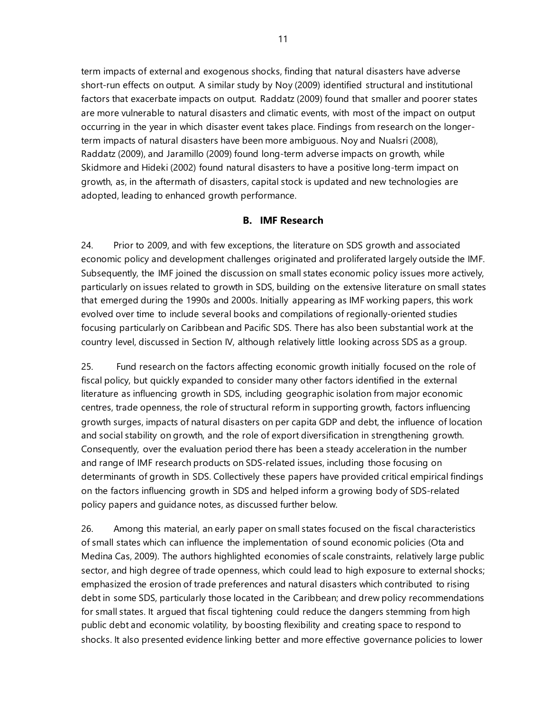term impacts of external and exogenous shocks, finding that natural disasters have adverse short-run effects on output. A similar study by Noy (2009) identified structural and institutional factors that exacerbate impacts on output. Raddatz (2009) found that smaller and poorer states are more vulnerable to natural disasters and climatic events, with most of the impact on output occurring in the year in which disaster event takes place. Findings from research on the longerterm impacts of natural disasters have been more ambiguous. Noy and Nualsri (2008), Raddatz (2009), and Jaramillo (2009) found long-term adverse impacts on growth, while Skidmore and Hideki (2002) found natural disasters to have a positive long-term impact on growth, as, in the aftermath of disasters, capital stock is updated and new technologies are adopted, leading to enhanced growth performance.

# **B. IMF Research**

24. Prior to 2009, and with few exceptions, the literature on SDS growth and associated economic policy and development challenges originated and proliferated largely outside the IMF. Subsequently, the IMF joined the discussion on small states economic policy issues more actively, particularly on issues related to growth in SDS, building on the extensive literature on small states that emerged during the 1990s and 2000s. Initially appearing as IMF working papers, this work evolved over time to include several books and compilations of regionally-oriented studies focusing particularly on Caribbean and Pacific SDS. There has also been substantial work at the country level, discussed in Section IV, although relatively little looking across SDS as a group.

25. Fund research on the factors affecting economic growth initially focused on the role of fiscal policy, but quickly expanded to consider many other factors identified in the external literature as influencing growth in SDS, including geographic isolation from major economic centres, trade openness, the role of structural reform in supporting growth, factors influencing growth surges, impacts of natural disasters on per capita GDP and debt, the influence of location and social stability on growth, and the role of export diversification in strengthening growth. Consequently, over the evaluation period there has been a steady acceleration in the number and range of IMF research products on SDS-related issues, including those focusing on determinants of growth in SDS. Collectively these papers have provided critical empirical findings on the factors influencing growth in SDS and helped inform a growing body of SDS-related policy papers and guidance notes, as discussed further below.

26. Among this material, an early paper on small states focused on the fiscal characteristics of small states which can influence the implementation of sound economic policies (Ota and Medina Cas, 2009). The authors highlighted economies of scale constraints, relatively large public sector, and high degree of trade openness, which could lead to high exposure to external shocks; emphasized the erosion of trade preferences and natural disasters which contributed to rising debt in some SDS, particularly those located in the Caribbean; and drew policy recommendations for small states. It argued that fiscal tightening could reduce the dangers stemming from high public debt and economic volatility, by boosting flexibility and creating space to respond to shocks. It also presented evidence linking better and more effective governance policies to lower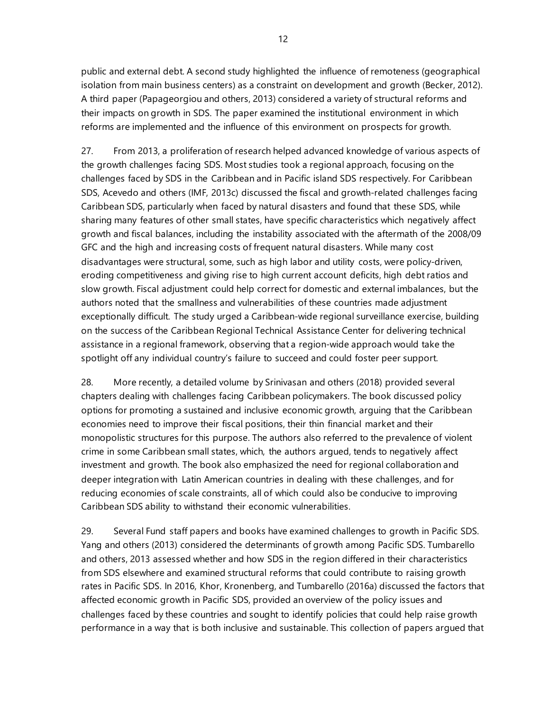public and external debt. A second study highlighted the influence of remoteness (geographical isolation from main business centers) as a constraint on development and growth (Becker, 2012). A third paper (Papageorgiou and others, 2013) considered a variety of structural reforms and their impacts on growth in SDS. The paper examined the institutional environment in which reforms are implemented and the influence of this environment on prospects for growth.

27. From 2013, a proliferation of research helped advanced knowledge of various aspects of the growth challenges facing SDS. Most studies took a regional approach, focusing on the challenges faced by SDS in the Caribbean and in Pacific island SDS respectively. For Caribbean SDS, Acevedo and others (IMF, 2013c) discussed the fiscal and growth-related challenges facing Caribbean SDS, particularly when faced by natural disasters and found that these SDS, while sharing many features of other small states, have specific characteristics which negatively affect growth and fiscal balances, including the instability associated with the aftermath of the 2008/09 GFC and the high and increasing costs of frequent natural disasters. While many cost disadvantages were structural, some, such as high labor and utility costs, were policy-driven, eroding competitiveness and giving rise to high current account deficits, high debt ratios and slow growth. Fiscal adjustment could help correct for domestic and external imbalances, but the authors noted that the smallness and vulnerabilities of these countries made adjustment exceptionally difficult. The study urged a Caribbean-wide regional surveillance exercise, building on the success of the Caribbean Regional Technical Assistance Center for delivering technical assistance in a regional framework, observing that a region-wide approach would take the spotlight off any individual country's failure to succeed and could foster peer support.

28. More recently, a detailed volume by Srinivasan and others (2018) provided several chapters dealing with challenges facing Caribbean policymakers. The book discussed policy options for promoting a sustained and inclusive economic growth, arguing that the Caribbean economies need to improve their fiscal positions, their thin financial market and their monopolistic structures for this purpose. The authors also referred to the prevalence of violent crime in some Caribbean small states, which, the authors argued, tends to negatively affect investment and growth. The book also emphasized the need for regional collaboration and deeper integration with Latin American countries in dealing with these challenges, and for reducing economies of scale constraints, all of which could also be conducive to improving Caribbean SDS ability to withstand their economic vulnerabilities.

29. Several Fund staff papers and books have examined challenges to growth in Pacific SDS. Yang and others (2013) considered the determinants of growth among Pacific SDS. Tumbarello and others, 2013 assessed whether and how SDS in the region differed in their characteristics from SDS elsewhere and examined structural reforms that could contribute to raising growth rates in Pacific SDS. In 2016, Khor, Kronenberg, and Tumbarello (2016a) discussed the factors that affected economic growth in Pacific SDS, provided an overview of the policy issues and challenges faced by these countries and sought to identify policies that could help raise growth performance in a way that is both inclusive and sustainable. This collection of papers argued that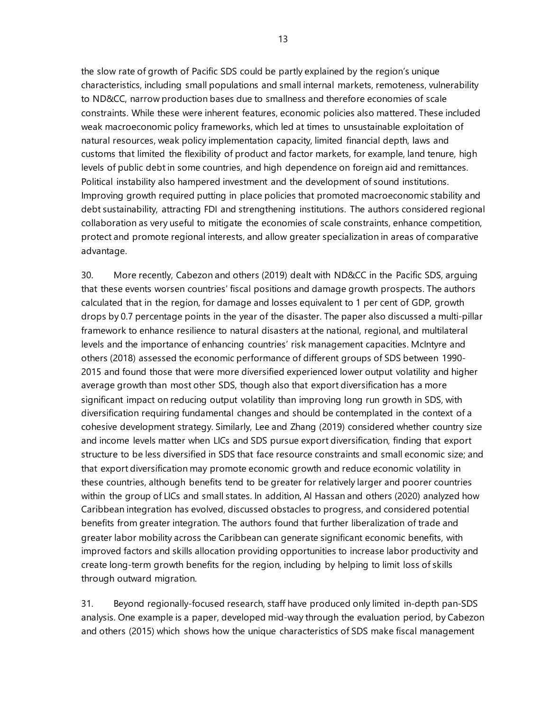the slow rate of growth of Pacific SDS could be partly explained by the region's unique characteristics, including small populations and small internal markets, remoteness, vulnerability to ND&CC, narrow production bases due to smallness and therefore economies of scale constraints. While these were inherent features, economic policies also mattered. These included weak macroeconomic policy frameworks, which led at times to unsustainable exploitation of natural resources, weak policy implementation capacity, limited financial depth, laws and customs that limited the flexibility of product and factor markets, for example, land tenure, high levels of public debt in some countries, and high dependence on foreign aid and remittances. Political instability also hampered investment and the development of sound institutions. Improving growth required putting in place policies that promoted macroeconomic stability and debt sustainability, attracting FDI and strengthening institutions. The authors considered regional collaboration as very useful to mitigate the economies of scale constraints, enhance competition, protect and promote regional interests, and allow greater specialization in areas of comparative advantage.

30. More recently, Cabezon and others (2019) dealt with ND&CC in the Pacific SDS, arguing that these events worsen countries' fiscal positions and damage growth prospects. The authors calculated that in the region, for damage and losses equivalent to 1 per cent of GDP, growth drops by 0.7 percentage points in the year of the disaster. The paper also discussed a multi-pillar framework to enhance resilience to natural disasters at the national, regional, and multilateral levels and the importance of enhancing countries' risk management capacities. McIntyre and others (2018) assessed the economic performance of different groups of SDS between 1990- 2015 and found those that were more diversified experienced lower output volatility and higher average growth than most other SDS, though also that export diversification has a more significant impact on reducing output volatility than improving long run growth in SDS, with diversification requiring fundamental changes and should be contemplated in the context of a cohesive development strategy. Similarly, Lee and Zhang (2019) considered whether country size and income levels matter when LICs and SDS pursue export diversification, finding that export structure to be less diversified in SDS that face resource constraints and small economic size; and that export diversification may promote economic growth and reduce economic volatility in these countries, although benefits tend to be greater for relatively larger and poorer countries within the group of LICs and small states. In addition, Al Hassan and others (2020) analyzed how Caribbean integration has evolved, discussed obstacles to progress, and considered potential benefits from greater integration. The authors found that further liberalization of trade and greater labor mobility across the Caribbean can generate significant economic benefits, with improved factors and skills allocation providing opportunities to increase labor productivity and create long-term growth benefits for the region, including by helping to limit loss of skills through outward migration.

31. Beyond regionally-focused research, staff have produced only limited in-depth pan-SDS analysis. One example is a paper, developed mid-way through the evaluation period, by Cabezon and others (2015) which shows how the unique characteristics of SDS make fiscal management

13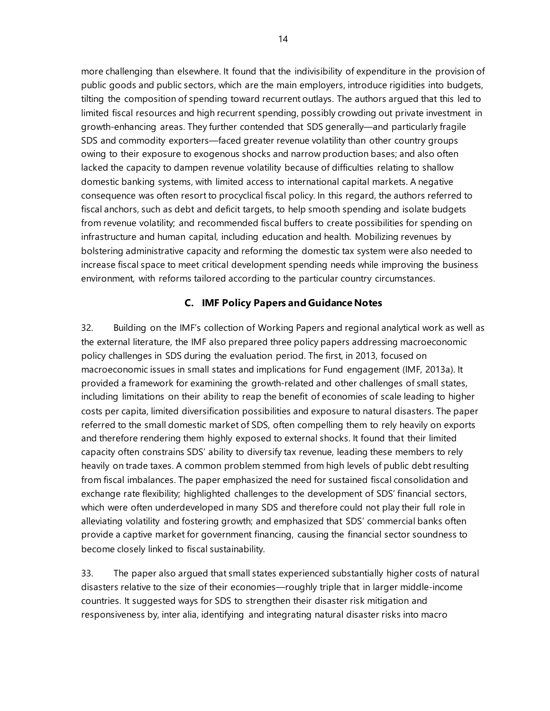more challenging than elsewhere. It found that the indivisibility of expenditure in the provision of public goods and public sectors, which are the main employers, introduce rigidities into budgets, tilting the composition of spending toward recurrent outlays. The authors argued that this led to limited fiscal resources and high recurrent spending, possibly crowding out private investment in growth-enhancing areas. They further contended that SDS generally—and particularly fragile SDS and commodity exporters—faced greater revenue volatility than other country groups owing to their exposure to exogenous shocks and narrow production bases; and also often lacked the capacity to dampen revenue volatility because of difficulties relating to shallow domestic banking systems, with limited access to international capital markets. A negative consequence was often resort to procyclical fiscal policy. In this regard, the authors referred to fiscal anchors, such as debt and deficit targets, to help smooth spending and isolate budgets from revenue volatility; and recommended fiscal buffers to create possibilities for spending on infrastructure and human capital, including education and health. Mobilizing revenues by bolstering administrative capacity and reforming the domestic tax system were also needed to increase fiscal space to meet critical development spending needs while improving the business environment, with reforms tailored according to the particular country circumstances.

# **C. IMF Policy Papers and Guidance Notes**

32. Building on the IMF's collection of Working Papers and regional analytical work as well as the external literature, the IMF also prepared three policy papers addressing macroeconomic policy challenges in SDS during the evaluation period. The first, in 2013, focused on macroeconomic issues in small states and implications for Fund engagement (IMF, 2013a). It provided a framework for examining the growth-related and other challenges of small states, including limitations on their ability to reap the benefit of economies of scale leading to higher costs per capita, limited diversification possibilities and exposure to natural disasters. The paper referred to the small domestic market of SDS, often compelling them to rely heavily on exports and therefore rendering them highly exposed to external shocks. It found that their limited capacity often constrains SDS' ability to diversify tax revenue, leading these members to rely heavily on trade taxes. A common problem stemmed from high levels of public debt resulting from fiscal imbalances. The paper emphasized the need for sustained fiscal consolidation and exchange rate flexibility; highlighted challenges to the development of SDS' financial sectors, which were often underdeveloped in many SDS and therefore could not play their full role in alleviating volatility and fostering growth; and emphasized that SDS' commercial banks often provide a captive market for government financing, causing the financial sector soundness to become closely linked to fiscal sustainability.

33. The paper also argued that small states experienced substantially higher costs of natural disasters relative to the size of their economies—roughly triple that in larger middle-income countries. It suggested ways for SDS to strengthen their disaster risk mitigation and responsiveness by, inter alia, identifying and integrating natural disaster risks into macro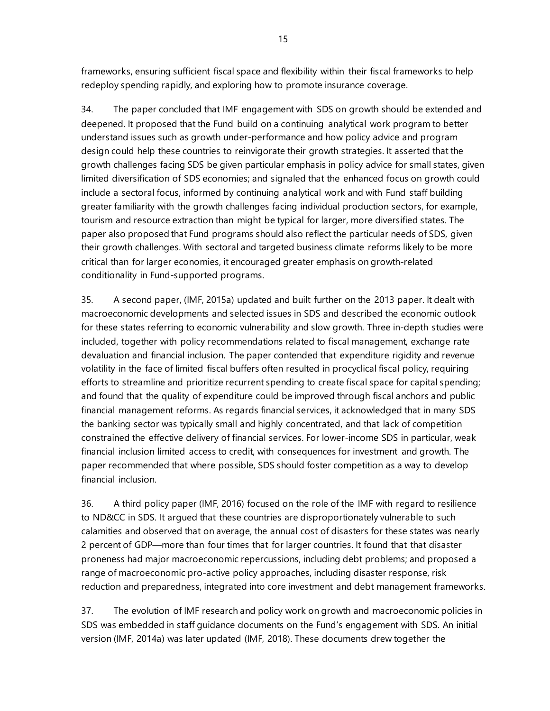frameworks, ensuring sufficient fiscal space and flexibility within their fiscal frameworks to help redeploy spending rapidly, and exploring how to promote insurance coverage.

34. The paper concluded that IMF engagement with SDS on growth should be extended and deepened. It proposed that the Fund build on a continuing analytical work program to better understand issues such as growth under-performance and how policy advice and program design could help these countries to reinvigorate their growth strategies. It asserted that the growth challenges facing SDS be given particular emphasis in policy advice for small states, given limited diversification of SDS economies; and signaled that the enhanced focus on growth could include a sectoral focus, informed by continuing analytical work and with Fund staff building greater familiarity with the growth challenges facing individual production sectors, for example, tourism and resource extraction than might be typical for larger, more diversified states. The paper also proposed that Fund programs should also reflect the particular needs of SDS, given their growth challenges. With sectoral and targeted business climate reforms likely to be more critical than for larger economies, it encouraged greater emphasis on growth-related conditionality in Fund-supported programs.

35. A second paper, (IMF, 2015a) updated and built further on the 2013 paper. It dealt with macroeconomic developments and selected issues in SDS and described the economic outlook for these states referring to economic vulnerability and slow growth. Three in-depth studies were included, together with policy recommendations related to fiscal management, exchange rate devaluation and financial inclusion. The paper contended that expenditure rigidity and revenue volatility in the face of limited fiscal buffers often resulted in procyclical fiscal policy, requiring efforts to streamline and prioritize recurrent spending to create fiscal space for capital spending; and found that the quality of expenditure could be improved through fiscal anchors and public financial management reforms. As regards financial services, it acknowledged that in many SDS the banking sector was typically small and highly concentrated, and that lack of competition constrained the effective delivery of financial services. For lower-income SDS in particular, weak financial inclusion limited access to credit, with consequences for investment and growth. The paper recommended that where possible, SDS should foster competition as a way to develop financial inclusion.

36. A third policy paper (IMF, 2016) focused on the role of the IMF with regard to resilience to ND&CC in SDS. It argued that these countries are disproportionately vulnerable to such calamities and observed that on average, the annual cost of disasters for these states was nearly 2 percent of GDP—more than four times that for larger countries. It found that that disaster proneness had major macroeconomic repercussions, including debt problems; and proposed a range of macroeconomic pro-active policy approaches, including disaster response, risk reduction and preparedness, integrated into core investment and debt management frameworks.

37. The evolution of IMF research and policy work on growth and macroeconomic policies in SDS was embedded in staff guidance documents on the Fund's engagement with SDS. An initial version (IMF, 2014a) was later updated (IMF, 2018). These documents drew together the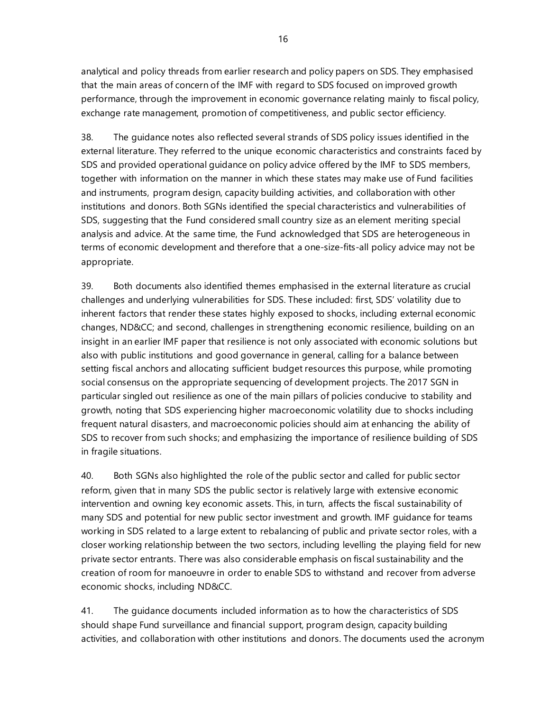analytical and policy threads from earlier research and policy papers on SDS. They emphasised that the main areas of concern of the IMF with regard to SDS focused on improved growth performance, through the improvement in economic governance relating mainly to fiscal policy, exchange rate management, promotion of competitiveness, and public sector efficiency.

38. The guidance notes also reflected several strands of SDS policy issues identified in the external literature. They referred to the unique economic characteristics and constraints faced by SDS and provided operational guidance on policy advice offered by the IMF to SDS members, together with information on the manner in which these states may make use of Fund facilities and instruments, program design, capacity building activities, and collaboration with other institutions and donors. Both SGNs identified the special characteristics and vulnerabilities of SDS, suggesting that the Fund considered small country size as an element meriting special analysis and advice. At the same time, the Fund acknowledged that SDS are heterogeneous in terms of economic development and therefore that a one-size-fits-all policy advice may not be appropriate.

39. Both documents also identified themes emphasised in the external literature as crucial challenges and underlying vulnerabilities for SDS. These included: first, SDS' volatility due to inherent factors that render these states highly exposed to shocks, including external economic changes, ND&CC; and second, challenges in strengthening economic resilience, building on an insight in an earlier IMF paper that resilience is not only associated with economic solutions but also with public institutions and good governance in general, calling for a balance between setting fiscal anchors and allocating sufficient budget resources this purpose, while promoting social consensus on the appropriate sequencing of development projects. The 2017 SGN in particular singled out resilience as one of the main pillars of policies conducive to stability and growth, noting that SDS experiencing higher macroeconomic volatility due to shocks including frequent natural disasters, and macroeconomic policies should aim at enhancing the ability of SDS to recover from such shocks; and emphasizing the importance of resilience building of SDS in fragile situations.

40. Both SGNs also highlighted the role of the public sector and called for public sector reform, given that in many SDS the public sector is relatively large with extensive economic intervention and owning key economic assets. This, in turn, affects the fiscal sustainability of many SDS and potential for new public sector investment and growth. IMF guidance for teams working in SDS related to a large extent to rebalancing of public and private sector roles, with a closer working relationship between the two sectors, including levelling the playing field for new private sector entrants. There was also considerable emphasis on fiscal sustainability and the creation of room for manoeuvre in order to enable SDS to withstand and recover from adverse economic shocks, including ND&CC.

41. The guidance documents included information as to how the characteristics of SDS should shape Fund surveillance and financial support, program design, capacity building activities, and collaboration with other institutions and donors. The documents used the acronym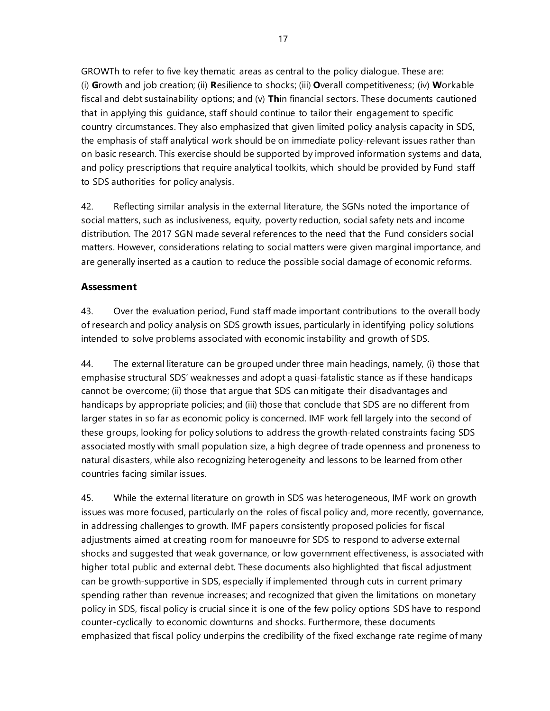GROWTh to refer to five key thematic areas as central to the policy dialogue. These are: (i) **G**rowth and job creation; (ii) **R**esilience to shocks; (iii) **O**verall competitiveness; (iv) **W**orkable fiscal and debt sustainability options; and (v) **Th**in financial sectors. These documents cautioned that in applying this guidance, staff should continue to tailor their engagement to specific country circumstances. They also emphasized that given limited policy analysis capacity in SDS, the emphasis of staff analytical work should be on immediate policy-relevant issues rather than on basic research. This exercise should be supported by improved information systems and data, and policy prescriptions that require analytical toolkits, which should be provided by Fund staff to SDS authorities for policy analysis.

42. Reflecting similar analysis in the external literature, the SGNs noted the importance of social matters, such as inclusiveness, equity, poverty reduction, social safety nets and income distribution. The 2017 SGN made several references to the need that the Fund considers social matters. However, considerations relating to social matters were given marginal importance, and are generally inserted as a caution to reduce the possible social damage of economic reforms.

# **Assessment**

43. Over the evaluation period, Fund staff made important contributions to the overall body of research and policy analysis on SDS growth issues, particularly in identifying policy solutions intended to solve problems associated with economic instability and growth of SDS.

44. The external literature can be grouped under three main headings, namely, (i) those that emphasise structural SDS' weaknesses and adopt a quasi-fatalistic stance as if these handicaps cannot be overcome; (ii) those that argue that SDS can mitigate their disadvantages and handicaps by appropriate policies; and (iii) those that conclude that SDS are no different from larger states in so far as economic policy is concerned. IMF work fell largely into the second of these groups, looking for policy solutions to address the growth-related constraints facing SDS associated mostly with small population size, a high degree of trade openness and proneness to natural disasters, while also recognizing heterogeneity and lessons to be learned from other countries facing similar issues.

45. While the external literature on growth in SDS was heterogeneous, IMF work on growth issues was more focused, particularly on the roles of fiscal policy and, more recently, governance, in addressing challenges to growth. IMF papers consistently proposed policies for fiscal adjustments aimed at creating room for manoeuvre for SDS to respond to adverse external shocks and suggested that weak governance, or low government effectiveness, is associated with higher total public and external debt. These documents also highlighted that fiscal adjustment can be growth-supportive in SDS, especially if implemented through cuts in current primary spending rather than revenue increases; and recognized that given the limitations on monetary policy in SDS, fiscal policy is crucial since it is one of the few policy options SDS have to respond counter-cyclically to economic downturns and shocks. Furthermore, these documents emphasized that fiscal policy underpins the credibility of the fixed exchange rate regime of many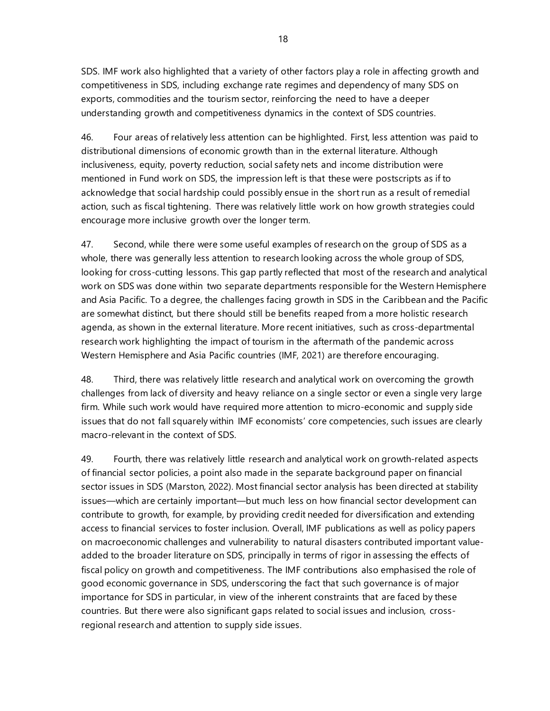SDS. IMF work also highlighted that a variety of other factors play a role in affecting growth and competitiveness in SDS, including exchange rate regimes and dependency of many SDS on exports, commodities and the tourism sector, reinforcing the need to have a deeper understanding growth and competitiveness dynamics in the context of SDS countries.

46. Four areas of relatively less attention can be highlighted. First, less attention was paid to distributional dimensions of economic growth than in the external literature. Although inclusiveness, equity, poverty reduction, social safety nets and income distribution were mentioned in Fund work on SDS, the impression left is that these were postscripts as if to acknowledge that social hardship could possibly ensue in the short run as a result of remedial action, such as fiscal tightening. There was relatively little work on how growth strategies could encourage more inclusive growth over the longer term.

47. Second, while there were some useful examples of research on the group of SDS as a whole, there was generally less attention to research looking across the whole group of SDS, looking for cross-cutting lessons. This gap partly reflected that most of the research and analytical work on SDS was done within two separate departments responsible for the Western Hemisphere and Asia Pacific. To a degree, the challenges facing growth in SDS in the Caribbean and the Pacific are somewhat distinct, but there should still be benefits reaped from a more holistic research agenda, as shown in the external literature. More recent initiatives, such as cross-departmental research work highlighting the impact of tourism in the aftermath of the pandemic across Western Hemisphere and Asia Pacific countries (IMF, 2021) are therefore encouraging.

48. Third, there was relatively little research and analytical work on overcoming the growth challenges from lack of diversity and heavy reliance on a single sector or even a single very large firm. While such work would have required more attention to micro-economic and supply side issues that do not fall squarely within IMF economists' core competencies, such issues are clearly macro-relevant in the context of SDS.

49. Fourth, there was relatively little research and analytical work on growth-related aspects of financial sector policies, a point also made in the separate background paper on financial sector issues in SDS (Marston, 2022). Most financial sector analysis has been directed at stability issues—which are certainly important—but much less on how financial sector development can contribute to growth, for example, by providing credit needed for diversification and extending access to financial services to foster inclusion. Overall, IMF publications as well as policy papers on macroeconomic challenges and vulnerability to natural disasters contributed important valueadded to the broader literature on SDS, principally in terms of rigor in assessing the effects of fiscal policy on growth and competitiveness. The IMF contributions also emphasised the role of good economic governance in SDS, underscoring the fact that such governance is of major importance for SDS in particular, in view of the inherent constraints that are faced by these countries. But there were also significant gaps related to social issues and inclusion, crossregional research and attention to supply side issues.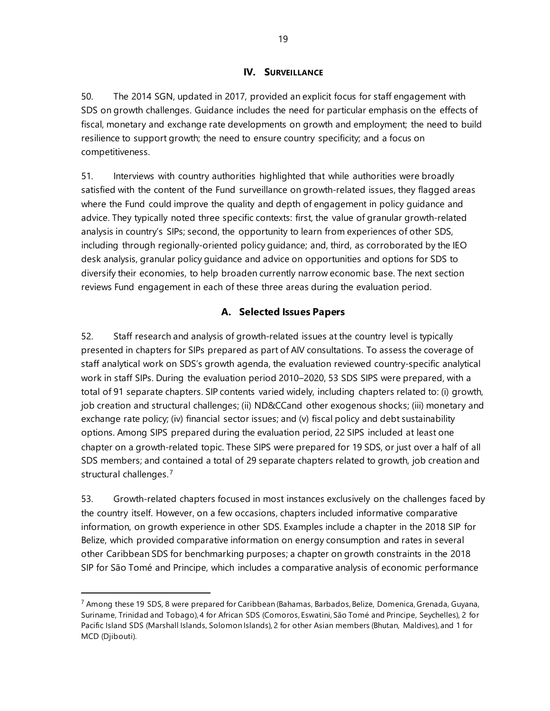## **IV. SURVEILLANCE**

50. The 2014 SGN, updated in 2017, provided an explicit focus for staff engagement with SDS on growth challenges. Guidance includes the need for particular emphasis on the effects of fiscal, monetary and exchange rate developments on growth and employment; the need to build resilience to support growth; the need to ensure country specificity; and a focus on competitiveness.

51. Interviews with country authorities highlighted that while authorities were broadly satisfied with the content of the Fund surveillance on growth-related issues, they flagged areas where the Fund could improve the quality and depth of engagement in policy guidance and advice. They typically noted three specific contexts: first, the value of granular growth-related analysis in country's SIPs; second, the opportunity to learn from experiences of other SDS, including through regionally-oriented policy guidance; and, third, as corroborated by the IEO desk analysis, granular policy guidance and advice on opportunities and options for SDS to diversify their economies, to help broaden currently narrow economic base. The next section reviews Fund engagement in each of these three areas during the evaluation period.

# **A. Selected Issues Papers**

52. Staff research and analysis of growth-related issues at the country level is typically presented in chapters for SIPs prepared as part of AIV consultations. To assess the coverage of staff analytical work on SDS's growth agenda, the evaluation reviewed country-specific analytical work in staff SIPs. During the evaluation period 2010–2020, 53 SDS SIPS were prepared, with a total of 91 separate chapters. SIP contents varied widely, including chapters related to: (i) growth, job creation and structural challenges; (ii) ND&CCand other exogenous shocks; (iii) monetary and exchange rate policy; (iv) financial sector issues; and (v) fiscal policy and debt sustainability options. Among SIPS prepared during the evaluation period, 22 SIPS included at least one chapter on a growth-related topic. These SIPS were prepared for 19 SDS, or just over a half of all SDS members; and contained a total of 29 separate chapters related to growth, job creation and structural challenges.<sup>[7](#page-24-0)</sup>

53. Growth-related chapters focused in most instances exclusively on the challenges faced by the country itself. However, on a few occasions, chapters included informative comparative information, on growth experience in other SDS. Examples include a chapter in the 2018 SIP for Belize, which provided comparative information on energy consumption and rates in several other Caribbean SDS for benchmarking purposes; a chapter on growth constraints in the 2018 SIP for São Tomé and Principe, which includes a comparative analysis of economic performance

<span id="page-24-0"></span> $^7$  Among these 19 SDS, 8 were prepared for Caribbean (Bahamas, Barbados, Belize, Domenica, Grenada, Guyana, Suriname, Trinidad and Tobago), 4 for African SDS (Comoros, Eswatini, São Tomé and Principe, Seychelles), 2 for Pacific Island SDS (Marshall Islands, Solomon Islands), 2 for other Asian members (Bhutan, Maldives), and 1 for MCD (Djibouti).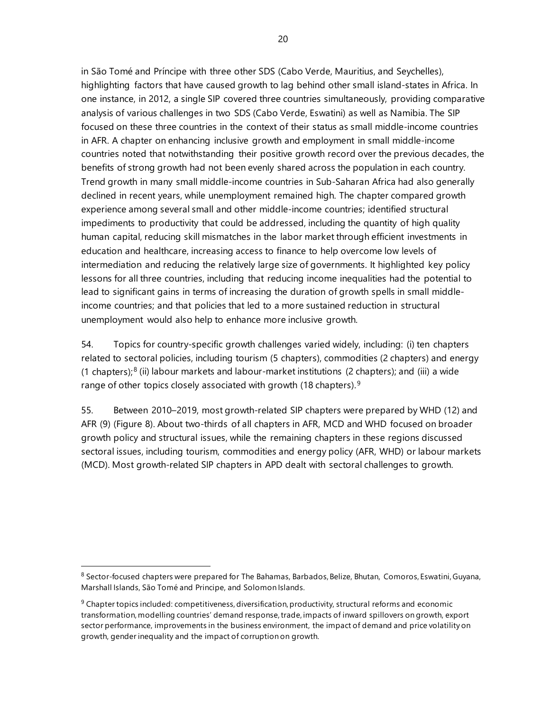in São Tomé and Príncipe with three other SDS (Cabo Verde, Mauritius, and Seychelles), highlighting factors that have caused growth to lag behind other small island-states in Africa. In one instance, in 2012, a single SIP covered three countries simultaneously, providing comparative analysis of various challenges in two SDS (Cabo Verde, Eswatini) as well as Namibia. The SIP focused on these three countries in the context of their status as small middle-income countries in AFR. A chapter on enhancing inclusive growth and employment in small middle-income countries noted that notwithstanding their positive growth record over the previous decades, the benefits of strong growth had not been evenly shared across the population in each country. Trend growth in many small middle-income countries in Sub-Saharan Africa had also generally declined in recent years, while unemployment remained high. The chapter compared growth experience among several small and other middle-income countries; identified structural impediments to productivity that could be addressed, including the quantity of high quality human capital, reducing skill mismatches in the labor market through efficient investments in education and healthcare, increasing access to finance to help overcome low levels of intermediation and reducing the relatively large size of governments. It highlighted key policy lessons for all three countries, including that reducing income inequalities had the potential to lead to significant gains in terms of increasing the duration of growth spells in small middleincome countries; and that policies that led to a more sustained reduction in structural unemployment would also help to enhance more inclusive growth.

54. Topics for country-specific growth challenges varied widely, including: (i) ten chapters related to sectoral policies, including tourism (5 chapters), commodities (2 chapters) and energy  $(1$  chapters);<sup>[8](#page-25-0)</sup> (ii) labour markets and labour-market institutions (2 chapters); and (iii) a wide range of other topics closely associated with growth (18 chapters).<sup>[9](#page-25-1)</sup>

55. Between 2010–2019, most growth-related SIP chapters were prepared by WHD (12) and AFR (9) (Figure 8). About two-thirds of all chapters in AFR, MCD and WHD focused on broader growth policy and structural issues, while the remaining chapters in these regions discussed sectoral issues, including tourism, commodities and energy policy (AFR, WHD) or labour markets (MCD). Most growth-related SIP chapters in APD dealt with sectoral challenges to growth.

<span id="page-25-0"></span><sup>&</sup>lt;sup>8</sup> Sector-focused chapters were prepared for The Bahamas, Barbados, Belize, Bhutan, Comoros, Eswatini, Guyana, Marshall Islands, São Tomé and Principe, and Solomon Islands.

<span id="page-25-1"></span> $9$  Chapter topics included: competitiveness, diversification, productivity, structural reforms and economic transformation, modelling countries' demand response, trade, impacts of inward spillovers on growth, export sector performance, improvements in the business environment, the impact of demand and price volatility on growth, gender inequality and the impact of corruption on growth.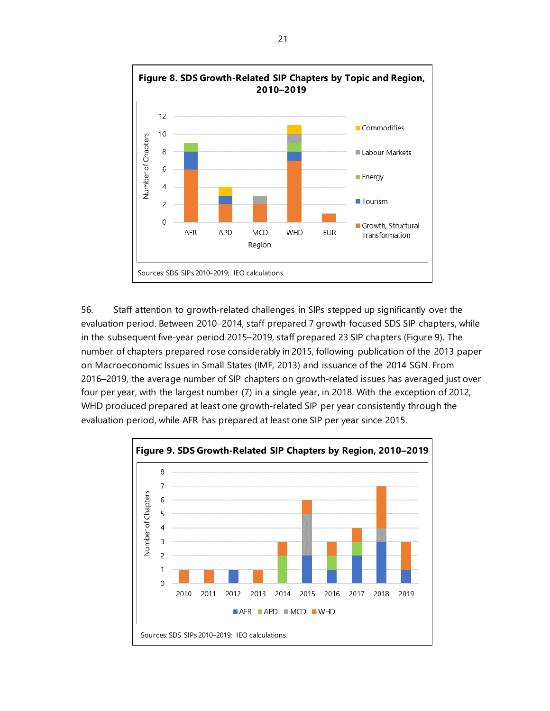

56. Staff attention to growth-related challenges in SIPs stepped up significantly over the evaluation period. Between 2010–2014, staff prepared 7 growth-focused SDS SIP chapters, while in the subsequent five-year period 2015–2019, staff prepared 23 SIP chapters (Figure 9). The number of chapters prepared rose considerably in 2015, following publication of the 2013 paper on Macroeconomic Issues in Small States (IMF, 2013) and issuance of the 2014 SGN. From 2016–2019, the average number of SIP chapters on growth-related issues has averaged just over four per year, with the largest number (7) in a single year, in 2018. With the exception of 2012, WHD produced prepared at least one growth-related SIP per year consistently through the evaluation period, while AFR has prepared at least one SIP per year since 2015.

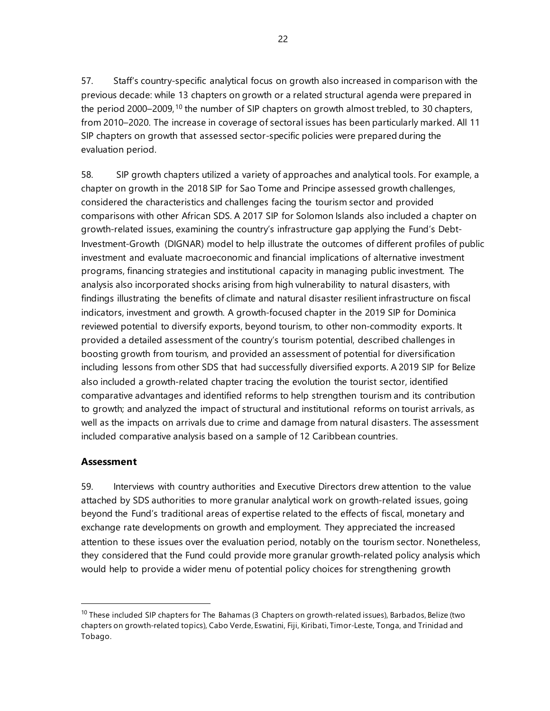57. Staff's country-specific analytical focus on growth also increased in comparison with the previous decade: while 13 chapters on growth or a related structural agenda were prepared in the period 2000–2009,<sup>[10](#page-27-0)</sup> the number of SIP chapters on growth almost trebled, to 30 chapters, from 2010–2020. The increase in coverage of sectoral issues has been particularly marked. All 11 SIP chapters on growth that assessed sector-specific policies were prepared during the evaluation period.

58. SIP growth chapters utilized a variety of approaches and analytical tools. For example, a chapter on growth in the 2018 SIP for Sao Tome and Principe assessed growth challenges, considered the characteristics and challenges facing the tourism sector and provided comparisons with other African SDS. A 2017 SIP for Solomon Islands also included a chapter on growth-related issues, examining the country's infrastructure gap applying the Fund's Debt-Investment-Growth (DIGNAR) model to help illustrate the outcomes of different profiles of public investment and evaluate macroeconomic and financial implications of alternative investment programs, financing strategies and institutional capacity in managing public investment. The analysis also incorporated shocks arising from high vulnerability to natural disasters, with findings illustrating the benefits of climate and natural disaster resilient infrastructure on fiscal indicators, investment and growth. A growth-focused chapter in the 2019 SIP for Dominica reviewed potential to diversify exports, beyond tourism, to other non-commodity exports. It provided a detailed assessment of the country's tourism potential, described challenges in boosting growth from tourism, and provided an assessment of potential for diversification including lessons from other SDS that had successfully diversified exports. A 2019 SIP for Belize also included a growth-related chapter tracing the evolution the tourist sector, identified comparative advantages and identified reforms to help strengthen tourism and its contribution to growth; and analyzed the impact of structural and institutional reforms on tourist arrivals, as well as the impacts on arrivals due to crime and damage from natural disasters. The assessment included comparative analysis based on a sample of 12 Caribbean countries.

# **Assessment**

59. Interviews with country authorities and Executive Directors drew attention to the value attached by SDS authorities to more granular analytical work on growth-related issues, going beyond the Fund's traditional areas of expertise related to the effects of fiscal, monetary and exchange rate developments on growth and employment. They appreciated the increased attention to these issues over the evaluation period, notably on the tourism sector. Nonetheless, they considered that the Fund could provide more granular growth-related policy analysis which would help to provide a wider menu of potential policy choices for strengthening growth

<span id="page-27-0"></span><sup>&</sup>lt;sup>10</sup> These included SIP chapters for The Bahamas (3 Chapters on growth-related issues), Barbados, Belize (two chapters on growth-related topics), Cabo Verde, Eswatini, Fiji, Kiribati, Timor-Leste, Tonga, and Trinidad and Tobago.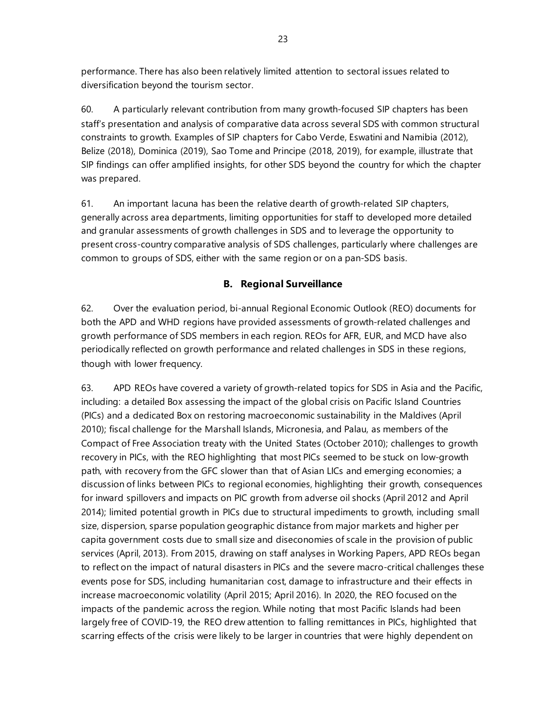performance. There has also been relatively limited attention to sectoral issues related to diversification beyond the tourism sector.

60. A particularly relevant contribution from many growth-focused SIP chapters has been staff's presentation and analysis of comparative data across several SDS with common structural constraints to growth. Examples of SIP chapters for Cabo Verde, Eswatini and Namibia (2012), Belize (2018), Dominica (2019), Sao Tome and Principe (2018, 2019), for example, illustrate that SIP findings can offer amplified insights, for other SDS beyond the country for which the chapter was prepared.

61. An important lacuna has been the relative dearth of growth-related SIP chapters, generally across area departments, limiting opportunities for staff to developed more detailed and granular assessments of growth challenges in SDS and to leverage the opportunity to present cross-country comparative analysis of SDS challenges, particularly where challenges are common to groups of SDS, either with the same region or on a pan-SDS basis.

# **B. Regional Surveillance**

62. Over the evaluation period, bi-annual Regional Economic Outlook (REO) documents for both the APD and WHD regions have provided assessments of growth-related challenges and growth performance of SDS members in each region. REOs for AFR, EUR, and MCD have also periodically reflected on growth performance and related challenges in SDS in these regions, though with lower frequency.

63. APD REOs have covered a variety of growth-related topics for SDS in Asia and the Pacific, including: a detailed Box assessing the impact of the global crisis on Pacific Island Countries (PICs) and a dedicated Box on restoring macroeconomic sustainability in the Maldives (April 2010); fiscal challenge for the Marshall Islands, Micronesia, and Palau, as members of the Compact of Free Association treaty with the United States (October 2010); challenges to growth recovery in PICs, with the REO highlighting that most PICs seemed to be stuck on low-growth path, with recovery from the GFC slower than that of Asian LICs and emerging economies; a discussion of links between PICs to regional economies, highlighting their growth, consequences for inward spillovers and impacts on PIC growth from adverse oil shocks (April 2012 and April 2014); limited potential growth in PICs due to structural impediments to growth, including small size, dispersion, sparse population geographic distance from major markets and higher per capita government costs due to small size and diseconomies of scale in the provision of public services (April, 2013). From 2015, drawing on staff analyses in Working Papers, APD REOs began to reflect on the impact of natural disasters in PICs and the severe macro-critical challenges these events pose for SDS, including humanitarian cost, damage to infrastructure and their effects in increase macroeconomic volatility (April 2015; April 2016). In 2020, the REO focused on the impacts of the pandemic across the region. While noting that most Pacific Islands had been largely free of COVID-19, the REO drew attention to falling remittances in PICs, highlighted that scarring effects of the crisis were likely to be larger in countries that were highly dependent on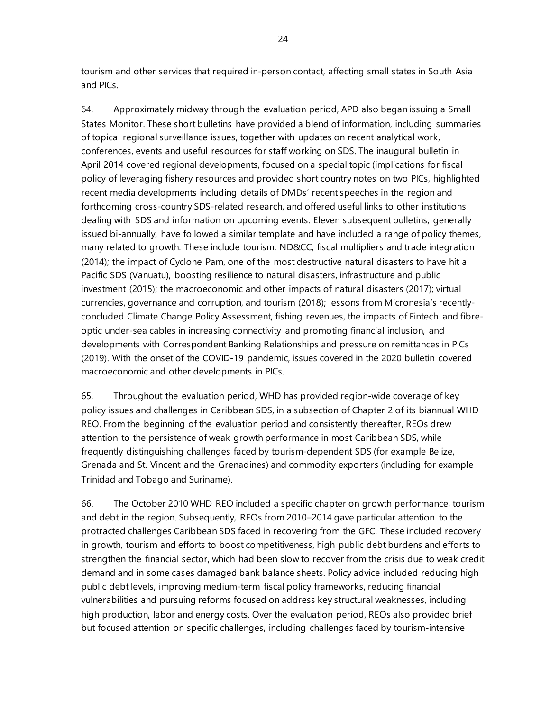tourism and other services that required in-person contact, affecting small states in South Asia and PICs.

64. Approximately midway through the evaluation period, APD also began issuing a Small States Monitor. These short bulletins have provided a blend of information, including summaries of topical regional surveillance issues, together with updates on recent analytical work, conferences, events and useful resources for staff working on SDS. The inaugural bulletin in April 2014 covered regional developments, focused on a special topic (implications for fiscal policy of leveraging fishery resources and provided short country notes on two PICs, highlighted recent media developments including details of DMDs' recent speeches in the region and forthcoming cross-country SDS-related research, and offered useful links to other institutions dealing with SDS and information on upcoming events. Eleven subsequent bulletins, generally issued bi-annually, have followed a similar template and have included a range of policy themes, many related to growth. These include tourism, ND&CC, fiscal multipliers and trade integration (2014); the impact of Cyclone Pam, one of the most destructive natural disasters to have hit a Pacific SDS (Vanuatu), boosting resilience to natural disasters, infrastructure and public investment (2015); the macroeconomic and other impacts of natural disasters (2017); virtual currencies, governance and corruption, and tourism (2018); lessons from Micronesia's recentlyconcluded Climate Change Policy Assessment, fishing revenues, the impacts of Fintech and fibreoptic under-sea cables in increasing connectivity and promoting financial inclusion, and developments with Correspondent Banking Relationships and pressure on remittances in PICs (2019). With the onset of the COVID-19 pandemic, issues covered in the 2020 bulletin covered macroeconomic and other developments in PICs.

65. Throughout the evaluation period, WHD has provided region-wide coverage of key policy issues and challenges in Caribbean SDS, in a subsection of Chapter 2 of its biannual WHD REO. From the beginning of the evaluation period and consistently thereafter, REOs drew attention to the persistence of weak growth performance in most Caribbean SDS, while frequently distinguishing challenges faced by tourism-dependent SDS (for example Belize, Grenada and St. Vincent and the Grenadines) and commodity exporters (including for example Trinidad and Tobago and Suriname).

66. The October 2010 WHD REO included a specific chapter on growth performance, tourism and debt in the region. Subsequently, REOs from 2010–2014 gave particular attention to the protracted challenges Caribbean SDS faced in recovering from the GFC. These included recovery in growth, tourism and efforts to boost competitiveness, high public debt burdens and efforts to strengthen the financial sector, which had been slow to recover from the crisis due to weak credit demand and in some cases damaged bank balance sheets. Policy advice included reducing high public debt levels, improving medium-term fiscal policy frameworks, reducing financial vulnerabilities and pursuing reforms focused on address key structural weaknesses, including high production, labor and energy costs. Over the evaluation period, REOs also provided brief but focused attention on specific challenges, including challenges faced by tourism-intensive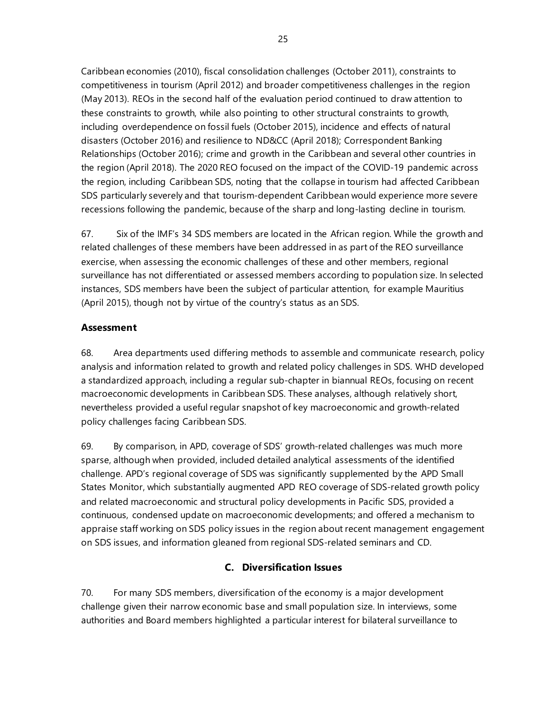Caribbean economies (2010), fiscal consolidation challenges (October 2011), constraints to competitiveness in tourism (April 2012) and broader competitiveness challenges in the region (May 2013). REOs in the second half of the evaluation period continued to draw attention to these constraints to growth, while also pointing to other structural constraints to growth, including overdependence on fossil fuels (October 2015), incidence and effects of natural disasters (October 2016) and resilience to ND&CC (April 2018); Correspondent Banking Relationships (October 2016); crime and growth in the Caribbean and several other countries in the region (April 2018). The 2020 REO focused on the impact of the COVID-19 pandemic across the region, including Caribbean SDS, noting that the collapse in tourism had affected Caribbean SDS particularly severely and that tourism-dependent Caribbean would experience more severe recessions following the pandemic, because of the sharp and long-lasting decline in tourism.

67. Six of the IMF's 34 SDS members are located in the African region. While the growth and related challenges of these members have been addressed in as part of the REO surveillance exercise, when assessing the economic challenges of these and other members, regional surveillance has not differentiated or assessed members according to population size. In selected instances, SDS members have been the subject of particular attention, for example Mauritius (April 2015), though not by virtue of the country's status as an SDS.

# **Assessment**

68. Area departments used differing methods to assemble and communicate research, policy analysis and information related to growth and related policy challenges in SDS. WHD developed a standardized approach, including a regular sub-chapter in biannual REOs, focusing on recent macroeconomic developments in Caribbean SDS. These analyses, although relatively short, nevertheless provided a useful regular snapshot of key macroeconomic and growth-related policy challenges facing Caribbean SDS.

69. By comparison, in APD, coverage of SDS' growth-related challenges was much more sparse, although when provided, included detailed analytical assessments of the identified challenge. APD's regional coverage of SDS was significantly supplemented by the APD Small States Monitor, which substantially augmented APD REO coverage of SDS-related growth policy and related macroeconomic and structural policy developments in Pacific SDS, provided a continuous, condensed update on macroeconomic developments; and offered a mechanism to appraise staff working on SDS policy issues in the region about recent management engagement on SDS issues, and information gleaned from regional SDS-related seminars and CD.

# **C. Diversification Issues**

70. For many SDS members, diversification of the economy is a major development challenge given their narrow economic base and small population size. In interviews, some authorities and Board members highlighted a particular interest for bilateral surveillance to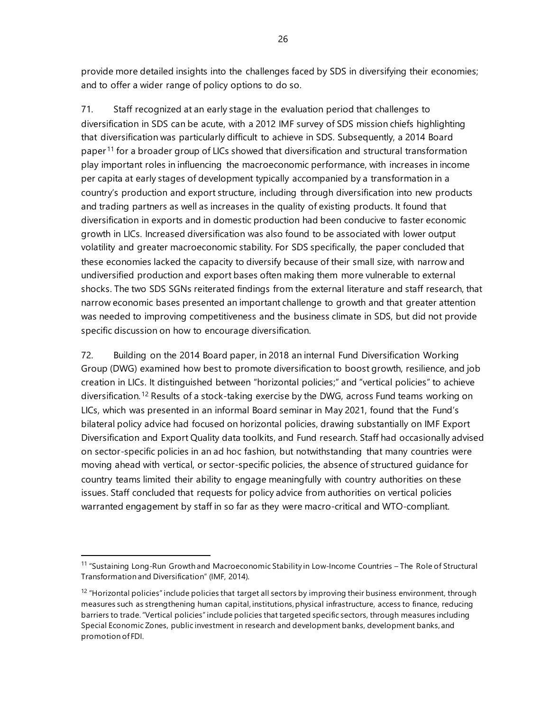provide more detailed insights into the challenges faced by SDS in diversifying their economies; and to offer a wider range of policy options to do so.

71. Staff recognized at an early stage in the evaluation period that challenges to diversification in SDS can be acute, with a 2012 IMF survey of SDS mission chiefs highlighting that diversification was particularly difficult to achieve in SDS. Subsequently, a 2014 Board paper [11](#page-31-0) for a broader group of LICs showed that diversification and structural transformation play important roles in influencing the macroeconomic performance, with increases in income per capita at early stages of development typically accompanied by a transformation in a country's production and export structure, including through diversification into new products and trading partners as well as increases in the quality of existing products. It found that diversification in exports and in domestic production had been conducive to faster economic growth in LICs. Increased diversification was also found to be associated with lower output volatility and greater macroeconomic stability. For SDS specifically, the paper concluded that these economies lacked the capacity to diversify because of their small size, with narrow and undiversified production and export bases often making them more vulnerable to external shocks. The two SDS SGNs reiterated findings from the external literature and staff research, that narrow economic bases presented an important challenge to growth and that greater attention was needed to improving competitiveness and the business climate in SDS, but did not provide specific discussion on how to encourage diversification.

72. Building on the 2014 Board paper, in 2018 an internal Fund Diversification Working Group (DWG) examined how best to promote diversification to boost growth, resilience, and job creation in LICs. It distinguished between "horizontal policies;" and "vertical policies" to achieve diversification.<sup>[12](#page-31-1)</sup> Results of a stock-taking exercise by the DWG, across Fund teams working on LICs, which was presented in an informal Board seminar in May 2021, found that the Fund's bilateral policy advice had focused on horizontal policies, drawing substantially on IMF Export Diversification and Export Quality data toolkits, and Fund research. Staff had occasionally advised on sector-specific policies in an ad hoc fashion, but notwithstanding that many countries were moving ahead with vertical, or sector-specific policies, the absence of structured guidance for country teams limited their ability to engage meaningfully with country authorities on these issues. Staff concluded that requests for policy advice from authorities on vertical policies warranted engagement by staff in so far as they were macro-critical and WTO-compliant.

<span id="page-31-0"></span><sup>11</sup> "Sustaining Long-Run Growth and Macroeconomic Stability in Low-Income Countries – The Role of Structural Transformation and Diversification" (IMF, 2014).

<span id="page-31-1"></span> $12$  "Horizontal policies" include policies that target all sectors by improving their business environment, through measures such as strengthening human capital, institutions, physical infrastructure, access to finance, reducing barriers to trade. "Vertical policies" include policies that targeted specific sectors, through measures including Special Economic Zones, public investment in research and development banks, development banks, and promotion of FDI.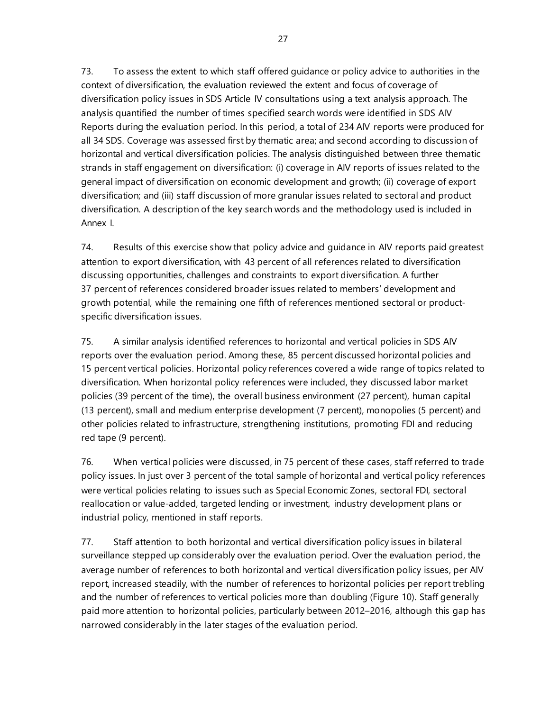73. To assess the extent to which staff offered guidance or policy advice to authorities in the context of diversification, the evaluation reviewed the extent and focus of coverage of diversification policy issues in SDS Article IV consultations using a text analysis approach. The analysis quantified the number of times specified search words were identified in SDS AIV Reports during the evaluation period. In this period, a total of 234 AIV reports were produced for all 34 SDS. Coverage was assessed first by thematic area; and second according to discussion of horizontal and vertical diversification policies. The analysis distinguished between three thematic strands in staff engagement on diversification: (i) coverage in AIV reports of issues related to the general impact of diversification on economic development and growth; (ii) coverage of export diversification; and (iii) staff discussion of more granular issues related to sectoral and product diversification. A description of the key search words and the methodology used is included in Annex I.

74. Results of this exercise show that policy advice and guidance in AIV reports paid greatest attention to export diversification, with 43 percent of all references related to diversification discussing opportunities, challenges and constraints to export diversification. A further 37 percent of references considered broader issues related to members' development and growth potential, while the remaining one fifth of references mentioned sectoral or productspecific diversification issues.

75. A similar analysis identified references to horizontal and vertical policies in SDS AIV reports over the evaluation period. Among these, 85 percent discussed horizontal policies and 15 percent vertical policies. Horizontal policy references covered a wide range of topics related to diversification. When horizontal policy references were included, they discussed labor market policies (39 percent of the time), the overall business environment (27 percent), human capital (13 percent), small and medium enterprise development (7 percent), monopolies (5 percent) and other policies related to infrastructure, strengthening institutions, promoting FDI and reducing red tape (9 percent).

76. When vertical policies were discussed, in 75 percent of these cases, staff referred to trade policy issues. In just over 3 percent of the total sample of horizontal and vertical policy references were vertical policies relating to issues such as Special Economic Zones, sectoral FDI, sectoral reallocation or value-added, targeted lending or investment, industry development plans or industrial policy, mentioned in staff reports.

77. Staff attention to both horizontal and vertical diversification policy issues in bilateral surveillance stepped up considerably over the evaluation period. Over the evaluation period, the average number of references to both horizontal and vertical diversification policy issues, per AIV report, increased steadily, with the number of references to horizontal policies per report trebling and the number of references to vertical policies more than doubling (Figure 10). Staff generally paid more attention to horizontal policies, particularly between 2012–2016, although this gap has narrowed considerably in the later stages of the evaluation period.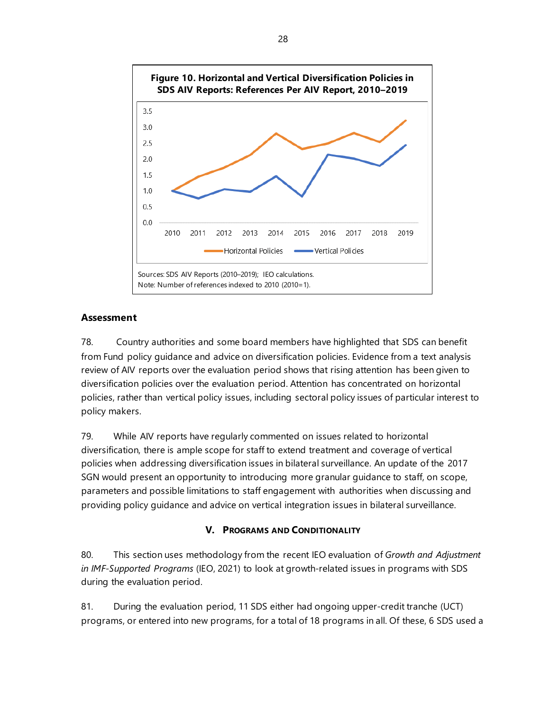

# **Assessment**

78. Country authorities and some board members have highlighted that SDS can benefit from Fund policy guidance and advice on diversification policies. Evidence from a text analysis review of AIV reports over the evaluation period shows that rising attention has been given to diversification policies over the evaluation period. Attention has concentrated on horizontal policies, rather than vertical policy issues, including sectoral policy issues of particular interest to policy makers.

79. While AIV reports have regularly commented on issues related to horizontal diversification, there is ample scope for staff to extend treatment and coverage of vertical policies when addressing diversification issues in bilateral surveillance. An update of the 2017 SGN would present an opportunity to introducing more granular guidance to staff, on scope, parameters and possible limitations to staff engagement with authorities when discussing and providing policy guidance and advice on vertical integration issues in bilateral surveillance.

# **V. PROGRAMS AND CONDITIONALITY**

80. This section uses methodology from the recent IEO evaluation of *Growth and Adjustment in IMF-Supported Programs* (IEO, 2021) to look at growth-related issues in programs with SDS during the evaluation period.

81. During the evaluation period, 11 SDS either had ongoing upper-credit tranche (UCT) programs, or entered into new programs, for a total of 18 programs in all. Of these, 6 SDS used a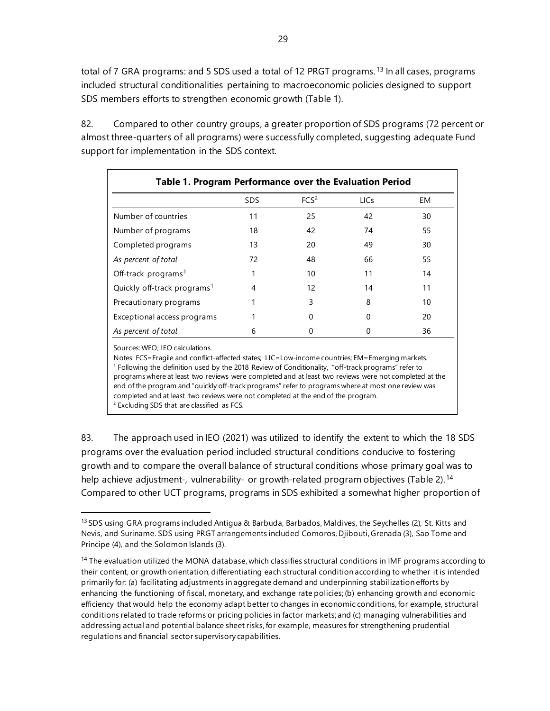total of 7 GRA programs: and 5 SDS used a total of 12 PRGT programs.<sup>[13](#page-34-0)</sup> In all cases, programs included structural conditionalities pertaining to macroeconomic policies designed to support SDS members efforts to strengthen economic growth (Table 1).

82. Compared to other country groups, a greater proportion of SDS programs (72 percent or almost three-quarters of all programs) were successfully completed, suggesting adequate Fund support for implementation in the SDS context.

| Table 1. Program Performance over the Evaluation Period |            |                  |             |    |  |  |
|---------------------------------------------------------|------------|------------------|-------------|----|--|--|
|                                                         | <b>SDS</b> | FCS <sup>2</sup> | <b>LICs</b> | EM |  |  |
| Number of countries                                     | 11         | 25               | 42          | 30 |  |  |
| Number of programs                                      | 18         | 42               | 74          | 55 |  |  |
| Completed programs                                      | 13         | 20               | 49          | 30 |  |  |
| As percent of total                                     | 72         | 48               | 66          | 55 |  |  |
| Off-track programs <sup>1</sup>                         |            | 10               | 11          | 14 |  |  |
| Quickly off-track programs <sup>1</sup>                 | 4          | 12               | 14          | 11 |  |  |
| Precautionary programs                                  |            | ς                | 8           | 10 |  |  |
| Exceptional access programs                             |            |                  | O           | 20 |  |  |
| As percent of total                                     | 6          |                  |             | 36 |  |  |

Sources: WEO; IEO calculations.

Notes: FCS=Fragile and conflict-affected states; LIC=Low-income countries; EM=Emerging markets. <sup>1</sup> Following the definition used by the 2018 Review of Conditionality, "off-track programs" refer to programs where at least two reviews were completed and at least two reviews were not completed at the end of the program and "quickly off-track programs" refer to programs where at most one review was completed and at least two reviews were not completed at the end of the program.  $2$  Excluding SDS that are classified as FCS.

83. The approach used in IEO (2021) was utilized to identify the extent to which the 18 SDS programs over the evaluation period included structural conditions conducive to fostering growth and to compare the overall balance of structural conditions whose primary goal was to help achieve adjustment-, vulnerability- or growth-related program objectives (Table 2). [14](#page-34-1) Compared to other UCT programs, programs in SDS exhibited a somewhat higher proportion of

<span id="page-34-0"></span><sup>13</sup> SDS using GRA programs included Antigua & Barbuda, Barbados, Maldives, the Seychelles (2), St. Kitts and Nevis, and Suriname. SDS using PRGT arrangements included Comoros, Djibouti, Grenada (3), Sao Tome and Principe (4), and the Solomon Islands (3).

<span id="page-34-1"></span><sup>&</sup>lt;sup>14</sup> The evaluation utilized the MONA database, which classifies structural conditions in IMF programs according to their content, or growth orientation, differentiating each structural condition according to whether it is intended primarily for: (a) facilitating adjustments in aggregate demand and underpinning stabilization efforts by enhancing the functioning of fiscal, monetary, and exchange rate policies; (b) enhancing growth and economic efficiency that would help the economy adapt better to changes in economic conditions, for example, structural conditions related to trade reforms or pricing policies in factor markets; and (c) managing vulnerabilities and addressing actual and potential balance sheet risks,for example, measures for strengthening prudential regulations and financial sector supervisory capabilities.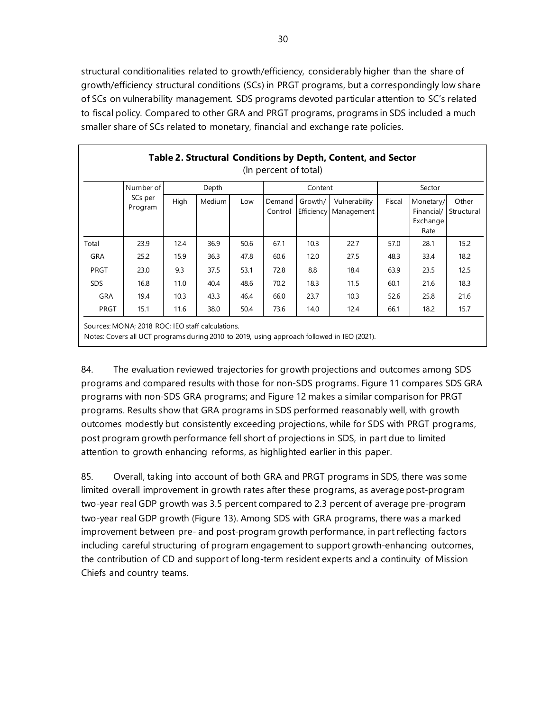structural conditionalities related to growth/efficiency, considerably higher than the share of growth/efficiency structural conditions (SCs) in PRGT programs, but a correspondingly low share of SCs on vulnerability management. SDS programs devoted particular attention to SC's related to fiscal policy. Compared to other GRA and PRGT programs, programs in SDS included a much smaller share of SCs related to monetary, financial and exchange rate policies.

| Table 2. Structural Conditions by Depth, Content, and Sector<br>(In percent of total)                                                          |                                 |       |               |      |                   |         |                                        |        |                                             |                     |
|------------------------------------------------------------------------------------------------------------------------------------------------|---------------------------------|-------|---------------|------|-------------------|---------|----------------------------------------|--------|---------------------------------------------|---------------------|
|                                                                                                                                                | Number of<br>SCs per<br>Program | Depth |               |      | Content           |         |                                        | Sector |                                             |                     |
|                                                                                                                                                |                                 | High  | <b>Medium</b> | Low  | Demand<br>Control | Growth/ | Vulnerability<br>Efficiency Management | Fiscal | Monetary/<br>Financial/<br>Exchange<br>Rate | Other<br>Structural |
| Total                                                                                                                                          | 23.9                            | 12.4  | 36.9          | 50.6 | 67.1              | 10.3    | 22.7                                   | 57.0   | 28.1                                        | 15.2                |
| <b>GRA</b>                                                                                                                                     | 25.2                            | 15.9  | 36.3          | 47.8 | 60.6              | 12.0    | 27.5                                   | 48.3   | 33.4                                        | 18.2                |
| PRGT                                                                                                                                           | 23.0                            | 9.3   | 37.5          | 53.1 | 72.8              | 8.8     | 18.4                                   | 63.9   | 23.5                                        | 12.5                |
| <b>SDS</b>                                                                                                                                     | 16.8                            | 11.0  | 40.4          | 48.6 | 70.2              | 18.3    | 11.5                                   | 60.1   | 21.6                                        | 18.3                |
| <b>GRA</b>                                                                                                                                     | 19.4                            | 10.3  | 43.3          | 46.4 | 66.0              | 23.7    | 10.3                                   | 52.6   | 25.8                                        | 21.6                |
| <b>PRGT</b>                                                                                                                                    | 15.1                            | 11.6  | 38.0          | 50.4 | 73.6              | 14.0    | 12.4                                   | 66.1   | 18.2                                        | 15.7                |
| Sources: MONA; 2018 ROC; IEO staff calculations.<br>Notes: Covers all UCT programs during 2010 to 2019, using approach followed in IEO (2021). |                                 |       |               |      |                   |         |                                        |        |                                             |                     |

84. The evaluation reviewed trajectories for growth projections and outcomes among SDS programs and compared results with those for non-SDS programs. Figure 11 compares SDS GRA programs with non-SDS GRA programs; and Figure 12 makes a similar comparison for PRGT programs. Results show that GRA programs in SDS performed reasonably well, with growth outcomes modestly but consistently exceeding projections, while for SDS with PRGT programs, post program growth performance fell short of projections in SDS, in part due to limited attention to growth enhancing reforms, as highlighted earlier in this paper.

85. Overall, taking into account of both GRA and PRGT programs in SDS, there was some limited overall improvement in growth rates after these programs, as average post-program two-year real GDP growth was 3.5 percent compared to 2.3 percent of average pre-program two-year real GDP growth (Figure 13). Among SDS with GRA programs, there was a marked improvement between pre- and post-program growth performance, in part reflecting factors including careful structuring of program engagement to support growth-enhancing outcomes, the contribution of CD and support of long-term resident experts and a continuity of Mission Chiefs and country teams.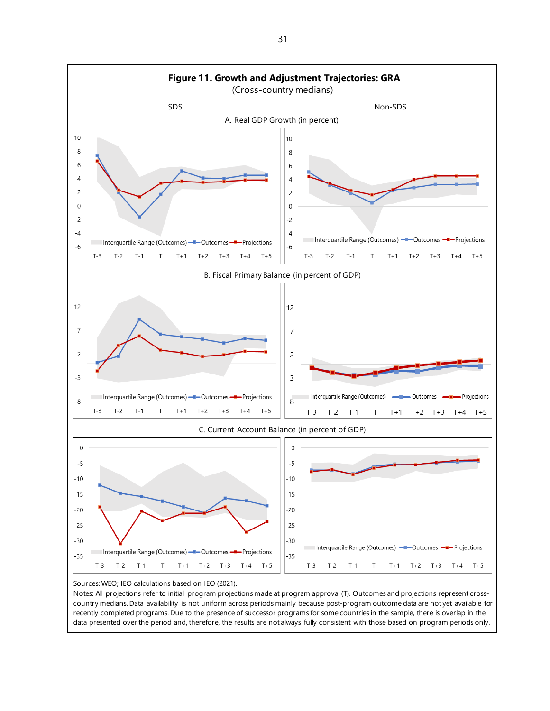

Notes: All projections refer to initial program projections made at program approval (T). Outcomes and projections represent crosscountry medians. Data availability is not uniform across periods mainly because post-program outcome data are not yet available for recently completed programs. Due to the presence of successor programs for some countries in the sample, there is overlap in the data presented over the period and, therefore, the results are not always fully consistent with those based on program periods only.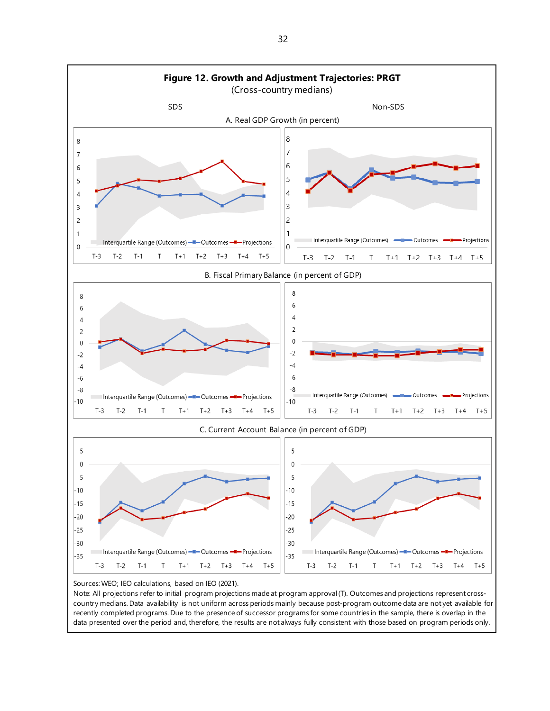

Note: All projections refer to initial program projections made at program approval (T). Outcomes and projections represent crosscountry medians. Data availability is not uniform across periods mainly because post-program outcome data are not yet available for recently completed programs. Due to the presence of successor programs for some countries in the sample, there is overlap in the data presented over the period and, therefore, the results are not always fully consistent with those based on program periods only.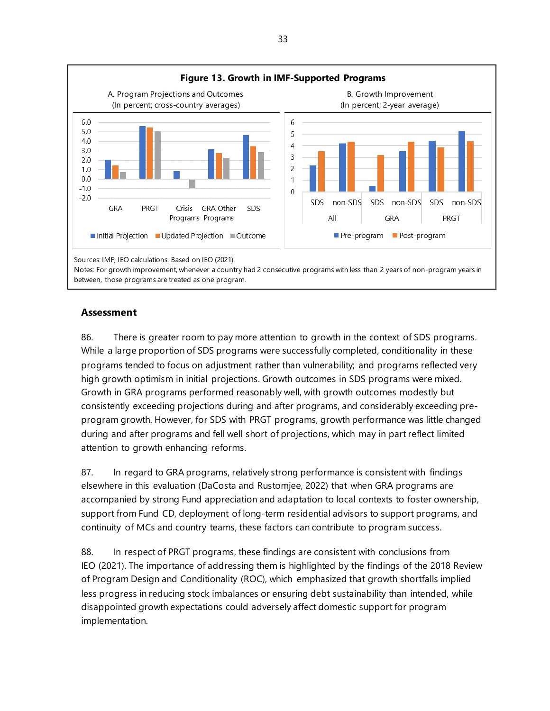

#### **Assessment**

86. There is greater room to pay more attention to growth in the context of SDS programs. While a large proportion of SDS programs were successfully completed, conditionality in these programs tended to focus on adjustment rather than vulnerability; and programs reflected very high growth optimism in initial projections. Growth outcomes in SDS programs were mixed. Growth in GRA programs performed reasonably well, with growth outcomes modestly but consistently exceeding projections during and after programs, and considerably exceeding preprogram growth. However, for SDS with PRGT programs, growth performance was little changed during and after programs and fell well short of projections, which may in part reflect limited attention to growth enhancing reforms.

87. In regard to GRA programs, relatively strong performance is consistent with findings elsewhere in this evaluation (DaCosta and Rustomjee, 2022) that when GRA programs are accompanied by strong Fund appreciation and adaptation to local contexts to foster ownership, support from Fund CD, deployment of long-term residential advisors to support programs, and continuity of MCs and country teams, these factors can contribute to program success.

88. In respect of PRGT programs, these findings are consistent with conclusions from IEO (2021). The importance of addressing them is highlighted by the findings of the 2018 Review of Program Design and Conditionality (ROC), which emphasized that growth shortfalls implied less progress in reducing stock imbalances or ensuring debt sustainability than intended, while disappointed growth expectations could adversely affect domestic support for program implementation.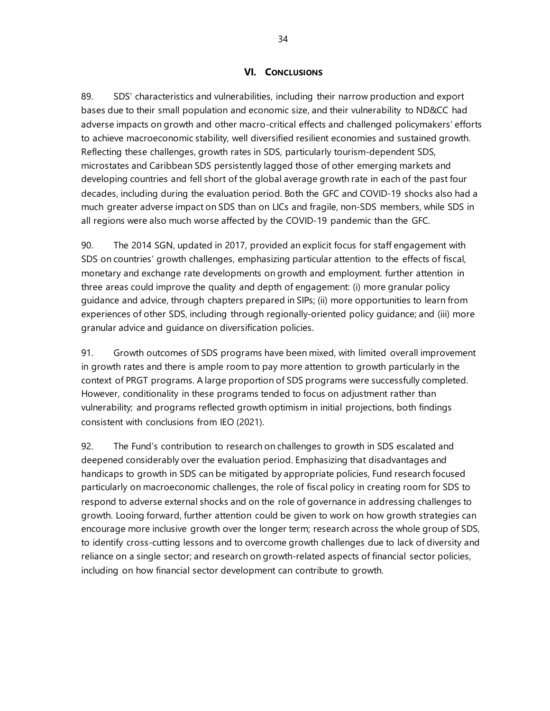#### **VI. CONCLUSIONS**

89. SDS' characteristics and vulnerabilities, including their narrow production and export bases due to their small population and economic size, and their vulnerability to ND&CC had adverse impacts on growth and other macro-critical effects and challenged policymakers' efforts to achieve macroeconomic stability, well diversified resilient economies and sustained growth. Reflecting these challenges, growth rates in SDS, particularly tourism-dependent SDS, microstates and Caribbean SDS persistently lagged those of other emerging markets and developing countries and fell short of the global average growth rate in each of the past four decades, including during the evaluation period. Both the GFC and COVID-19 shocks also had a much greater adverse impact on SDS than on LICs and fragile, non-SDS members, while SDS in all regions were also much worse affected by the COVID-19 pandemic than the GFC.

90. The 2014 SGN, updated in 2017, provided an explicit focus for staff engagement with SDS on countries' growth challenges, emphasizing particular attention to the effects of fiscal, monetary and exchange rate developments on growth and employment. further attention in three areas could improve the quality and depth of engagement: (i) more granular policy guidance and advice, through chapters prepared in SIPs; (ii) more opportunities to learn from experiences of other SDS, including through regionally-oriented policy guidance; and (iii) more granular advice and guidance on diversification policies.

91. Growth outcomes of SDS programs have been mixed, with limited overall improvement in growth rates and there is ample room to pay more attention to growth particularly in the context of PRGT programs. A large proportion of SDS programs were successfully completed. However, conditionality in these programs tended to focus on adjustment rather than vulnerability; and programs reflected growth optimism in initial projections, both findings consistent with conclusions from IEO (2021).

92. The Fund's contribution to research on challenges to growth in SDS escalated and deepened considerably over the evaluation period. Emphasizing that disadvantages and handicaps to growth in SDS can be mitigated by appropriate policies, Fund research focused particularly on macroeconomic challenges, the role of fiscal policy in creating room for SDS to respond to adverse external shocks and on the role of governance in addressing challenges to growth. Looing forward, further attention could be given to work on how growth strategies can encourage more inclusive growth over the longer term; research across the whole group of SDS, to identify cross-cutting lessons and to overcome growth challenges due to lack of diversity and reliance on a single sector; and research on growth-related aspects of financial sector policies, including on how financial sector development can contribute to growth.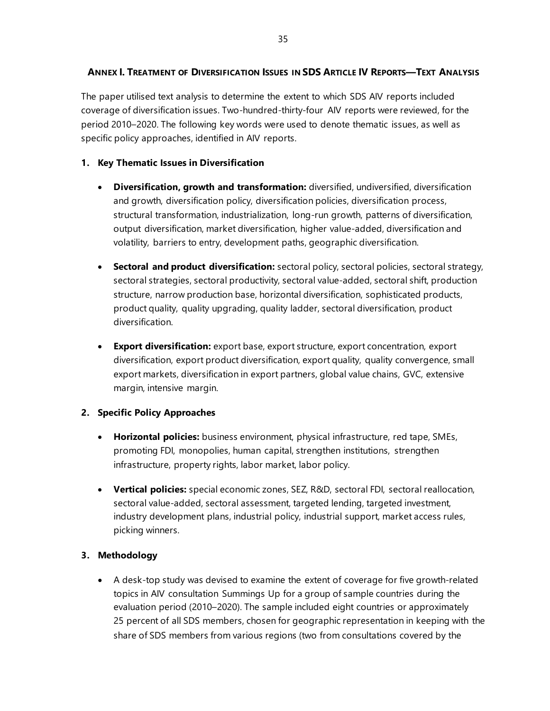# **ANNEX I. TREATMENT OF DIVERSIFICATION ISSUES IN SDS ARTICLE IV REPORTS—TEXT ANALYSIS**

The paper utilised text analysis to determine the extent to which SDS AIV reports included coverage of diversification issues. Two-hundred-thirty-four AIV reports were reviewed, for the period 2010–2020. The following key words were used to denote thematic issues, as well as specific policy approaches, identified in AIV reports.

# **1. Key Thematic Issues in Diversification**

- **Diversification, growth and transformation:** diversified, undiversified, diversification and growth, diversification policy, diversification policies, diversification process, structural transformation, industrialization, long-run growth, patterns of diversification, output diversification, market diversification, higher value-added, diversification and volatility, barriers to entry, development paths, geographic diversification.
- **Sectoral and product diversification:** sectoral policy, sectoral policies, sectoral strategy, sectoral strategies, sectoral productivity, sectoral value-added, sectoral shift, production structure, narrow production base, horizontal diversification, sophisticated products, product quality, quality upgrading, quality ladder, sectoral diversification, product diversification.
- **Export diversification:** export base, export structure, export concentration, export diversification, export product diversification, export quality, quality convergence, small export markets, diversification in export partners, global value chains, GVC, extensive margin, intensive margin.

# **2. Specific Policy Approaches**

- **Horizontal policies:** business environment, physical infrastructure, red tape, SMEs, promoting FDI, monopolies, human capital, strengthen institutions, strengthen infrastructure, property rights, labor market, labor policy.
- **Vertical policies:** special economic zones, SEZ, R&D, sectoral FDI, sectoral reallocation, sectoral value-added, sectoral assessment, targeted lending, targeted investment, industry development plans, industrial policy, industrial support, market access rules, picking winners.

# **3. Methodology**

• A desk-top study was devised to examine the extent of coverage for five growth-related topics in AIV consultation Summings Up for a group of sample countries during the evaluation period (2010–2020). The sample included eight countries or approximately 25 percent of all SDS members, chosen for geographic representation in keeping with the share of SDS members from various regions (two from consultations covered by the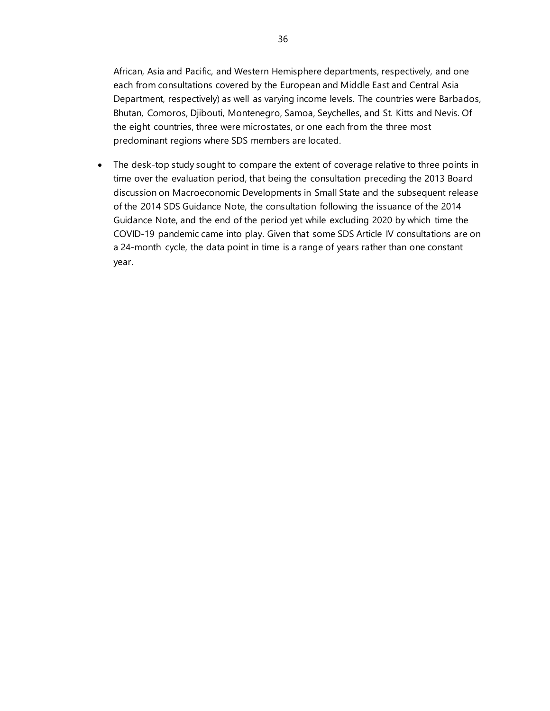African, Asia and Pacific, and Western Hemisphere departments, respectively, and one each from consultations covered by the European and Middle East and Central Asia Department, respectively) as well as varying income levels. The countries were Barbados, Bhutan, Comoros, Djibouti, Montenegro, Samoa, Seychelles, and St. Kitts and Nevis. Of the eight countries, three were microstates, or one each from the three most predominant regions where SDS members are located.

• The desk-top study sought to compare the extent of coverage relative to three points in time over the evaluation period, that being the consultation preceding the 2013 Board discussion on Macroeconomic Developments in Small State and the subsequent release of the 2014 SDS Guidance Note, the consultation following the issuance of the 2014 Guidance Note, and the end of the period yet while excluding 2020 by which time the COVID-19 pandemic came into play. Given that some SDS Article IV consultations are on a 24-month cycle, the data point in time is a range of years rather than one constant year.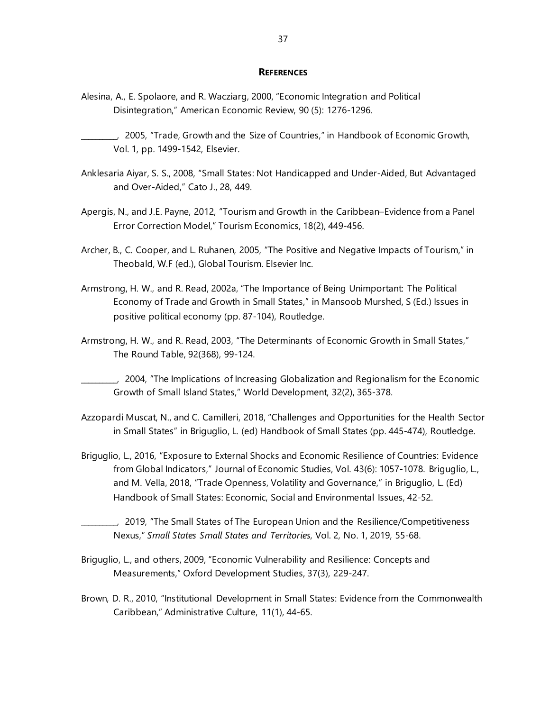#### **REFERENCES**

- <span id="page-42-0"></span>Alesina, A., E. Spolaore, and R. Wacziarg, 2000, "Economic Integration and Political Disintegration," American Economic Review, 90 (5): 1276-1296.
- \_\_\_\_\_\_\_\_\_\_, 2005, "Trade, Growth and the Size of Countries," in Handbook of Economic Growth, Vol. 1, pp. 1499-1542, Elsevier.
- Anklesaria Aiyar, S. S., 2008, "Small States: Not Handicapped and Under-Aided, But Advantaged and Over-Aided," Cato J., 28, 449.
- Apergis, N., and J.E. Payne, 2012, "Tourism and Growth in the Caribbean–Evidence from a Panel Error Correction Model," Tourism Economics, 18(2), 449-456.
- Archer, B., C. Cooper, and L. Ruhanen, 2005, "The Positive and Negative Impacts of Tourism," in Theobald, W.F (ed.), Global Tourism. Elsevier Inc.
- Armstrong, H. W., and R. Read, 2002a, "The Importance of Being Unimportant: The Political Economy of Trade and Growth in Small States," in Mansoob Murshed, S (Ed.) Issues in positive political economy (pp. 87-104), Routledge.
- Armstrong, H. W., and R. Read, 2003, "The Determinants of Economic Growth in Small States," The Round Table, 92(368), 99-124.

\_\_\_\_\_\_\_\_\_\_, 2004, "The Implications of Increasing Globalization and Regionalism for the Economic Growth of Small Island States," World Development, 32(2), 365-378.

- Azzopardi Muscat, N., and C. Camilleri, 2018, "Challenges and Opportunities for the Health Sector in Small States" in Briguglio, L. (ed) Handbook of Small States (pp. 445-474), Routledge.
- Briguglio, L., 2016, "Exposure to External Shocks and Economic Resilience of Countries: Evidence from Global Indicators," Journal of Economic Studies, Vol. 43(6): 1057-1078. Briguglio, L., and M. Vella, 2018, "Trade Openness, Volatility and Governance," in Briguglio, L. (Ed) Handbook of Small States: Economic, Social and Environmental Issues, 42-52.
	- \_\_\_\_\_\_\_\_\_\_, 2019, "The Small States of The European Union and the Resilience/Competitiveness Nexus," *Small States Small States and Territories*, Vol. 2, No. 1, 2019, 55-68.
- Briguglio, L., and others, 2009, "Economic Vulnerability and Resilience: Concepts and Measurements," Oxford Development Studies, 37(3), 229-247.
- Brown, D. R., 2010, "Institutional Development in Small States: Evidence from the Commonwealth Caribbean," Administrative Culture, 11(1), 44-65.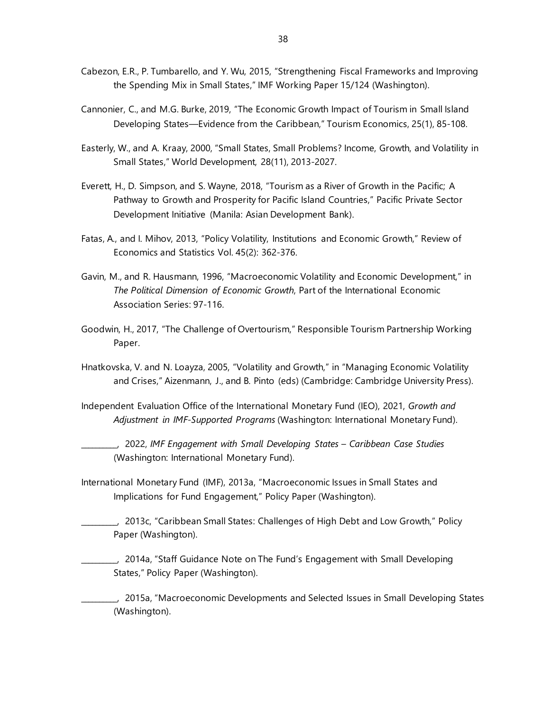- Cabezon, E.R., P. Tumbarello, and Y. Wu, 2015, "Strengthening Fiscal Frameworks and Improving the Spending Mix in Small States," IMF Working Paper 15/124 (Washington).
- Cannonier, C., and M.G. Burke, 2019, "The Economic Growth Impact of Tourism in Small Island Developing States—Evidence from the Caribbean," Tourism Economics, 25(1), 85-108.
- Easterly, W., and A. Kraay, 2000, "Small States, Small Problems? Income, Growth, and Volatility in Small States," World Development, 28(11), 2013-2027.
- Everett, H., D. Simpson, and S. Wayne, 2018, "Tourism as a River of Growth in the Pacific; A Pathway to Growth and Prosperity for Pacific Island Countries," Pacific Private Sector Development Initiative (Manila: Asian Development Bank).
- Fatas, A., and I. Mihov, 2013, "Policy Volatility, Institutions and Economic Growth," Review of Economics and Statistics Vol. 45(2): 362-376.
- Gavin, M., and R. Hausmann, 1996, "Macroeconomic Volatility and Economic Development," in *The Political Dimension of Economic Growth*, Part of the International Economic Association Series: 97-116.
- Goodwin, H., 2017, "The Challenge of Overtourism," Responsible Tourism Partnership Working Paper.
- Hnatkovska, V. and N. Loayza, 2005, "Volatility and Growth," in "Managing Economic Volatility and Crises," Aizenmann, J., and B. Pinto (eds) (Cambridge: Cambridge University Press).
- Independent Evaluation Office of the International Monetary Fund (IEO), 2021, *Growth and Adjustment in IMF-Supported Programs* (Washington: International Monetary Fund).
	- \_\_\_\_\_\_\_\_\_\_, 2022, *IMF Engagement with Small Developing States – Caribbean Case Studies*  (Washington: International Monetary Fund).
- International Monetary Fund (IMF), 2013a, "Macroeconomic Issues in Small States and Implications for Fund Engagement," Policy Paper (Washington).
- \_\_\_\_\_\_\_\_\_\_, 2013c, "Caribbean Small States: Challenges of High Debt and Low Growth," Policy Paper (Washington).
	- \_\_\_\_\_\_\_\_\_\_, 2014a, "Staff Guidance Note on The Fund's Engagement with Small Developing States," Policy Paper (Washington).

\_\_\_\_\_\_\_\_\_\_, 2015a, "Macroeconomic Developments and Selected Issues in Small Developing States (Washington).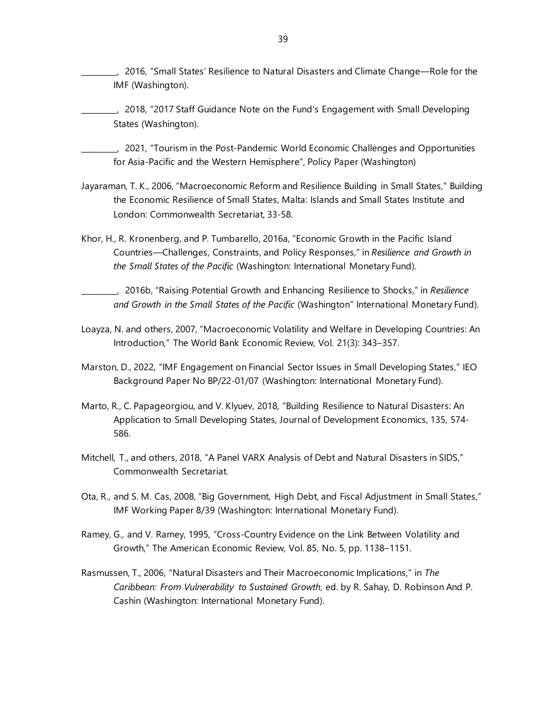- \_\_\_\_\_\_\_\_\_\_, 2016, "Small States' Resilience to Natural Disasters and Climate Change—Role for the IMF (Washington).
- \_\_\_\_\_\_\_\_\_\_, 2018, "2017 Staff Guidance Note on the Fund's Engagement with Small Developing States (Washington).
- \_\_\_\_\_\_\_\_\_\_, 2021, "Tourism in the Post-Pandemic World Economic Challenges and Opportunities for Asia-Pacific and the Western Hemisphere", Policy Paper (Washington)
- Jayaraman, T. K., 2006, "Macroeconomic Reform and Resilience Building in Small States," Building the Economic Resilience of Small States, Malta: Islands and Small States Institute and London: Commonwealth Secretariat, 33-58.
- Khor, H., R. Kronenberg, and P. Tumbarello, 2016a, "Economic Growth in the Pacific Island Countries—Challenges, Constraints, and Policy Responses," in *Resilience and Growth in the Small States of the Pacific* (Washington: International Monetary Fund).
- \_\_\_\_\_\_\_\_\_\_, 2016b, "Raising Potential Growth and Enhancing Resilience to Shocks," in *Resilience and Growth in the Small States of the Pacific* (Washington" International Monetary Fund).
- Loayza, N. and others, 2007, "Macroeconomic Volatility and Welfare in Developing Countries: An Introduction," The World Bank Economic Review, Vol. 21(3): 343–357.
- Marston, D., 2022, "IMF Engagement on Financial Sector Issues in Small Developing States," IEO Background Paper No BP/22-01/07 (Washington: International Monetary Fund).
- Marto, R., C. Papageorgiou, and V. Klyuev, 2018, "Building Resilience to Natural Disasters: An Application to Small Developing States, Journal of Development Economics, 135, 574- 586.
- Mitchell, T., and others, 2018, "A Panel VARX Analysis of Debt and Natural Disasters in SIDS," Commonwealth Secretariat.
- Ota, R., and S. M. Cas, 2008, "Big Government, High Debt, and Fiscal Adjustment in Small States," IMF Working Paper 8/39 (Washington: International Monetary Fund).
- Ramey, G., and V. Ramey, 1995, "Cross-Country Evidence on the Link Between Volatility and Growth," The American Economic Review, Vol. 85, No. 5, pp. 1138–1151.
- Rasmussen, T., 2006, "Natural Disasters and Their Macroeconomic Implications," in *The Caribbean: From Vulnerability to Sustained Growth*, ed. by R. Sahay, D. Robinson And P. Cashin (Washington: International Monetary Fund).